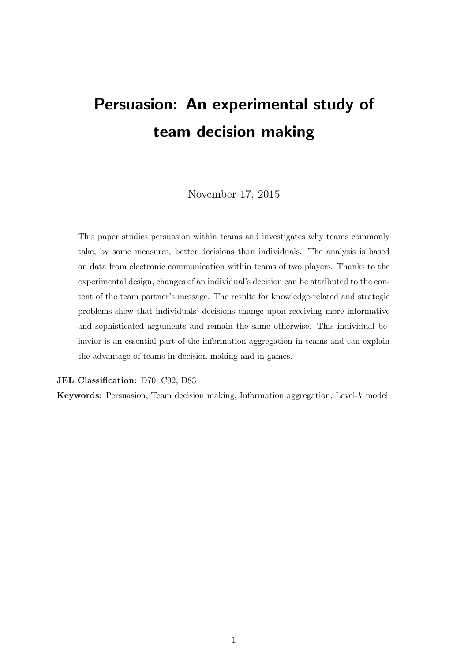# Persuasion: An experimental study of team decision making

November 17, 2015

This paper studies persuasion within teams and investigates why teams commonly take, by some measures, better decisions than individuals. The analysis is based on data from electronic communication within teams of two players. Thanks to the experimental design, changes of an individual's decision can be attributed to the content of the team partner's message. The results for knowledge-related and strategic problems show that individuals' decisions change upon receiving more informative and sophisticated arguments and remain the same otherwise. This individual behavior is an essential part of the information aggregation in teams and can explain the advantage of teams in decision making and in games.

JEL Classification: D70, C92, D83

**Keywords:** Persuasion, Team decision making, Information aggregation, Level- $k$  model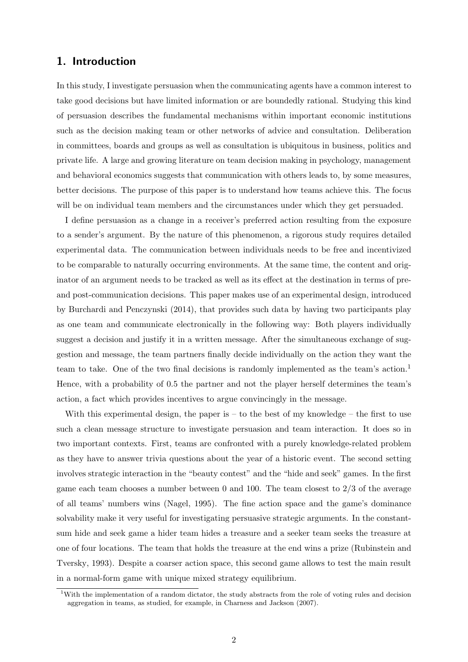# 1. Introduction

In this study, I investigate persuasion when the communicating agents have a common interest to take good decisions but have limited information or are boundedly rational. Studying this kind of persuasion describes the fundamental mechanisms within important economic institutions such as the decision making team or other networks of advice and consultation. Deliberation in committees, boards and groups as well as consultation is ubiquitous in business, politics and private life. A large and growing literature on team decision making in psychology, management and behavioral economics suggests that communication with others leads to, by some measures, better decisions. The purpose of this paper is to understand how teams achieve this. The focus will be on individual team members and the circumstances under which they get persuaded.

I define persuasion as a change in a receiver's preferred action resulting from the exposure to a sender's argument. By the nature of this phenomenon, a rigorous study requires detailed experimental data. The communication between individuals needs to be free and incentivized to be comparable to naturally occurring environments. At the same time, the content and originator of an argument needs to be tracked as well as its effect at the destination in terms of preand post-communication decisions. This paper makes use of an experimental design, introduced by Burchardi and Penczynski (2014), that provides such data by having two participants play as one team and communicate electronically in the following way: Both players individually suggest a decision and justify it in a written message. After the simultaneous exchange of suggestion and message, the team partners finally decide individually on the action they want the team to take. One of the two final decisions is randomly implemented as the team's action.<sup>1</sup> Hence, with a probability of 0.5 the partner and not the player herself determines the team's action, a fact which provides incentives to argue convincingly in the message.

With this experimental design, the paper is  $-$  to the best of my knowledge  $-$  the first to use such a clean message structure to investigate persuasion and team interaction. It does so in two important contexts. First, teams are confronted with a purely knowledge-related problem as they have to answer trivia questions about the year of a historic event. The second setting involves strategic interaction in the "beauty contest" and the "hide and seek" games. In the first game each team chooses a number between 0 and 100. The team closest to 2/3 of the average of all teams' numbers wins (Nagel, 1995). The fine action space and the game's dominance solvability make it very useful for investigating persuasive strategic arguments. In the constantsum hide and seek game a hider team hides a treasure and a seeker team seeks the treasure at one of four locations. The team that holds the treasure at the end wins a prize (Rubinstein and Tversky, 1993). Despite a coarser action space, this second game allows to test the main result in a normal-form game with unique mixed strategy equilibrium.

<sup>&</sup>lt;sup>1</sup>With the implementation of a random dictator, the study abstracts from the role of voting rules and decision aggregation in teams, as studied, for example, in Charness and Jackson (2007).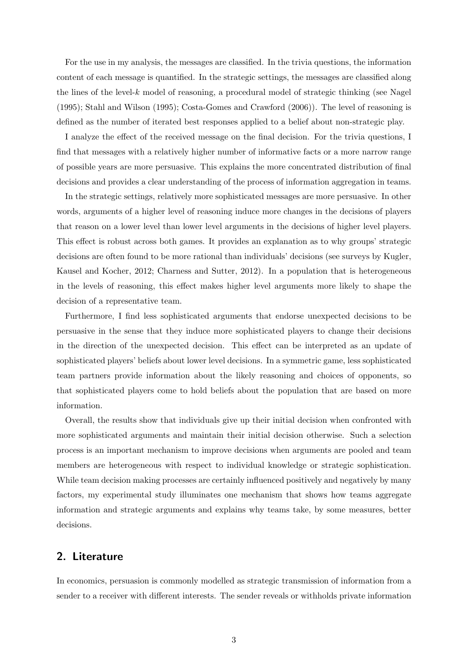For the use in my analysis, the messages are classified. In the trivia questions, the information content of each message is quantified. In the strategic settings, the messages are classified along the lines of the level- $k$  model of reasoning, a procedural model of strategic thinking (see Nagel (1995); Stahl and Wilson (1995); Costa-Gomes and Crawford (2006)). The level of reasoning is defined as the number of iterated best responses applied to a belief about non-strategic play.

I analyze the effect of the received message on the final decision. For the trivia questions, I find that messages with a relatively higher number of informative facts or a more narrow range of possible years are more persuasive. This explains the more concentrated distribution of final decisions and provides a clear understanding of the process of information aggregation in teams.

In the strategic settings, relatively more sophisticated messages are more persuasive. In other words, arguments of a higher level of reasoning induce more changes in the decisions of players that reason on a lower level than lower level arguments in the decisions of higher level players. This effect is robust across both games. It provides an explanation as to why groups' strategic decisions are often found to be more rational than individuals' decisions (see surveys by Kugler, Kausel and Kocher, 2012; Charness and Sutter, 2012). In a population that is heterogeneous in the levels of reasoning, this effect makes higher level arguments more likely to shape the decision of a representative team.

Furthermore, I find less sophisticated arguments that endorse unexpected decisions to be persuasive in the sense that they induce more sophisticated players to change their decisions in the direction of the unexpected decision. This effect can be interpreted as an update of sophisticated players' beliefs about lower level decisions. In a symmetric game, less sophisticated team partners provide information about the likely reasoning and choices of opponents, so that sophisticated players come to hold beliefs about the population that are based on more information.

Overall, the results show that individuals give up their initial decision when confronted with more sophisticated arguments and maintain their initial decision otherwise. Such a selection process is an important mechanism to improve decisions when arguments are pooled and team members are heterogeneous with respect to individual knowledge or strategic sophistication. While team decision making processes are certainly influenced positively and negatively by many factors, my experimental study illuminates one mechanism that shows how teams aggregate information and strategic arguments and explains why teams take, by some measures, better decisions.

# 2. Literature

In economics, persuasion is commonly modelled as strategic transmission of information from a sender to a receiver with different interests. The sender reveals or withholds private information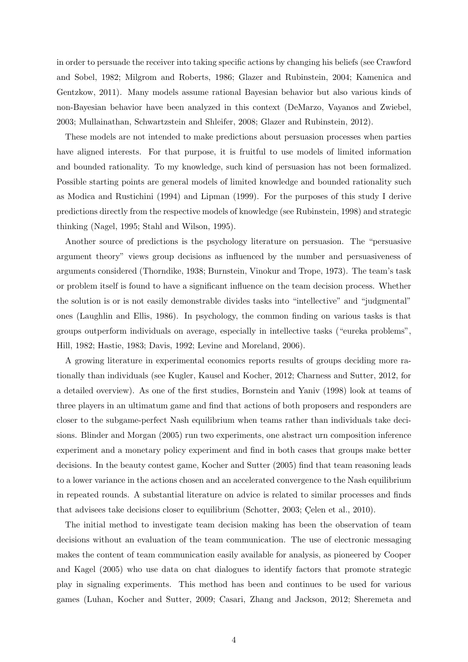in order to persuade the receiver into taking specific actions by changing his beliefs (see Crawford and Sobel, 1982; Milgrom and Roberts, 1986; Glazer and Rubinstein, 2004; Kamenica and Gentzkow, 2011). Many models assume rational Bayesian behavior but also various kinds of non-Bayesian behavior have been analyzed in this context (DeMarzo, Vayanos and Zwiebel, 2003; Mullainathan, Schwartzstein and Shleifer, 2008; Glazer and Rubinstein, 2012).

These models are not intended to make predictions about persuasion processes when parties have aligned interests. For that purpose, it is fruitful to use models of limited information and bounded rationality. To my knowledge, such kind of persuasion has not been formalized. Possible starting points are general models of limited knowledge and bounded rationality such as Modica and Rustichini (1994) and Lipman (1999). For the purposes of this study I derive predictions directly from the respective models of knowledge (see Rubinstein, 1998) and strategic thinking (Nagel, 1995; Stahl and Wilson, 1995).

Another source of predictions is the psychology literature on persuasion. The "persuasive argument theory" views group decisions as influenced by the number and persuasiveness of arguments considered (Thorndike, 1938; Burnstein, Vinokur and Trope, 1973). The team's task or problem itself is found to have a significant influence on the team decision process. Whether the solution is or is not easily demonstrable divides tasks into "intellective" and "judgmental" ones (Laughlin and Ellis, 1986). In psychology, the common finding on various tasks is that groups outperform individuals on average, especially in intellective tasks ("eureka problems", Hill, 1982; Hastie, 1983; Davis, 1992; Levine and Moreland, 2006).

A growing literature in experimental economics reports results of groups deciding more rationally than individuals (see Kugler, Kausel and Kocher, 2012; Charness and Sutter, 2012, for a detailed overview). As one of the first studies, Bornstein and Yaniv (1998) look at teams of three players in an ultimatum game and find that actions of both proposers and responders are closer to the subgame-perfect Nash equilibrium when teams rather than individuals take decisions. Blinder and Morgan (2005) run two experiments, one abstract urn composition inference experiment and a monetary policy experiment and find in both cases that groups make better decisions. In the beauty contest game, Kocher and Sutter (2005) find that team reasoning leads to a lower variance in the actions chosen and an accelerated convergence to the Nash equilibrium in repeated rounds. A substantial literature on advice is related to similar processes and finds that advisees take decisions closer to equilibrium (Schotter, 2003; Celen et al., 2010).

The initial method to investigate team decision making has been the observation of team decisions without an evaluation of the team communication. The use of electronic messaging makes the content of team communication easily available for analysis, as pioneered by Cooper and Kagel (2005) who use data on chat dialogues to identify factors that promote strategic play in signaling experiments. This method has been and continues to be used for various games (Luhan, Kocher and Sutter, 2009; Casari, Zhang and Jackson, 2012; Sheremeta and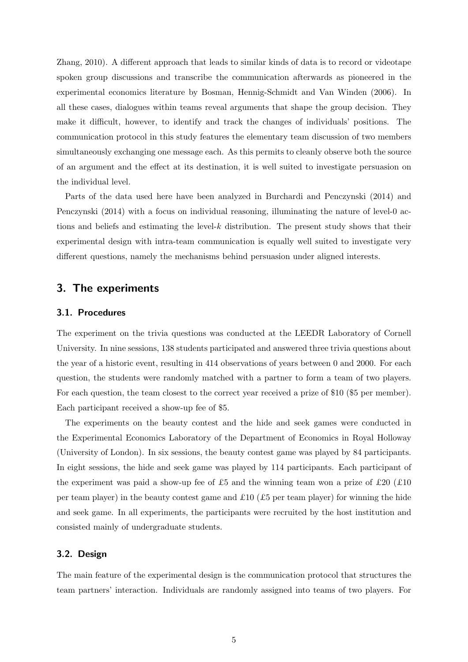Zhang, 2010). A different approach that leads to similar kinds of data is to record or videotape spoken group discussions and transcribe the communication afterwards as pioneered in the experimental economics literature by Bosman, Hennig-Schmidt and Van Winden (2006). In all these cases, dialogues within teams reveal arguments that shape the group decision. They make it difficult, however, to identify and track the changes of individuals' positions. The communication protocol in this study features the elementary team discussion of two members simultaneously exchanging one message each. As this permits to cleanly observe both the source of an argument and the effect at its destination, it is well suited to investigate persuasion on the individual level.

Parts of the data used here have been analyzed in Burchardi and Penczynski (2014) and Penczynski (2014) with a focus on individual reasoning, illuminating the nature of level-0 actions and beliefs and estimating the level- $k$  distribution. The present study shows that their experimental design with intra-team communication is equally well suited to investigate very different questions, namely the mechanisms behind persuasion under aligned interests.

# 3. The experiments

## 3.1. Procedures

The experiment on the trivia questions was conducted at the LEEDR Laboratory of Cornell University. In nine sessions, 138 students participated and answered three trivia questions about the year of a historic event, resulting in 414 observations of years between 0 and 2000. For each question, the students were randomly matched with a partner to form a team of two players. For each question, the team closest to the correct year received a prize of \$10 (\$5 per member). Each participant received a show-up fee of \$5.

The experiments on the beauty contest and the hide and seek games were conducted in the Experimental Economics Laboratory of the Department of Economics in Royal Holloway (University of London). In six sessions, the beauty contest game was played by 84 participants. In eight sessions, the hide and seek game was played by 114 participants. Each participant of the experiment was paid a show-up fee of £5 and the winning team won a prize of £20 ( $\pounds$ 10 per team player) in the beauty contest game and £10 (£5 per team player) for winning the hide and seek game. In all experiments, the participants were recruited by the host institution and consisted mainly of undergraduate students.

## 3.2. Design

The main feature of the experimental design is the communication protocol that structures the team partners' interaction. Individuals are randomly assigned into teams of two players. For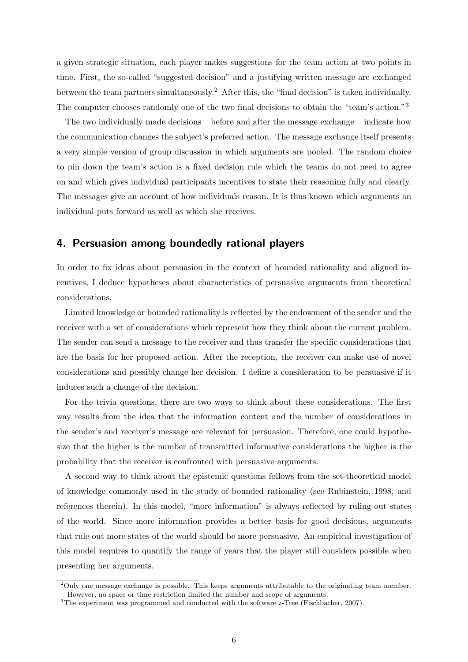a given strategic situation, each player makes suggestions for the team action at two points in time. First, the so-called "suggested decision" and a justifying written message are exchanged between the team partners simultaneously.<sup>2</sup> After this, the "final decision" is taken individually. The computer chooses randomly one of the two final decisions to obtain the "team's action."<sup>3</sup>

The two individually made decisions – before and after the message exchange – indicate how the communication changes the subject's preferred action. The message exchange itself presents a very simple version of group discussion in which arguments are pooled. The random choice to pin down the team's action is a fixed decision rule which the teams do not need to agree on and which gives individual participants incentives to state their reasoning fully and clearly. The messages give an account of how individuals reason. It is thus known which arguments an individual puts forward as well as which she receives.

# 4. Persuasion among boundedly rational players

In order to fix ideas about persuasion in the context of bounded rationality and aligned incentives, I deduce hypotheses about characteristics of persuasive arguments from theoretical considerations.

Limited knowledge or bounded rationality is reflected by the endowment of the sender and the receiver with a set of considerations which represent how they think about the current problem. The sender can send a message to the receiver and thus transfer the specific considerations that are the basis for her proposed action. After the reception, the receiver can make use of novel considerations and possibly change her decision. I define a consideration to be persuasive if it induces such a change of the decision.

For the trivia questions, there are two ways to think about these considerations. The first way results from the idea that the information content and the number of considerations in the sender's and receiver's message are relevant for persuasion. Therefore, one could hypothesize that the higher is the number of transmitted informative considerations the higher is the probability that the receiver is confronted with persuasive arguments.

A second way to think about the epistemic questions follows from the set-theoretical model of knowledge commonly used in the study of bounded rationality (see Rubinstein, 1998, and references therein). In this model, "more information" is always reflected by ruling out states of the world. Since more information provides a better basis for good decisions, arguments that rule out more states of the world should be more persuasive. An empirical investigation of this model requires to quantify the range of years that the player still considers possible when presenting her arguments.

<sup>&</sup>lt;sup>2</sup>Only one message exchange is possible. This keeps arguments attributable to the originating team member. However, no space or time restriction limited the number and scope of arguments.

<sup>&</sup>lt;sup>3</sup>The experiment was programmed and conducted with the software z-Tree (Fischbacher, 2007).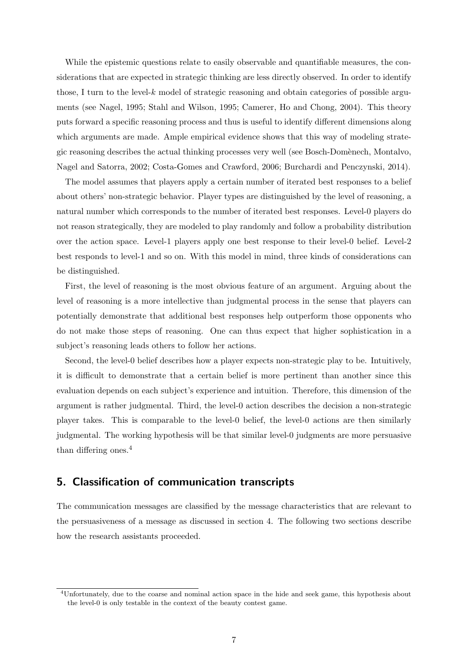While the epistemic questions relate to easily observable and quantifiable measures, the considerations that are expected in strategic thinking are less directly observed. In order to identify those, I turn to the level- $k$  model of strategic reasoning and obtain categories of possible arguments (see Nagel, 1995; Stahl and Wilson, 1995; Camerer, Ho and Chong, 2004). This theory puts forward a specific reasoning process and thus is useful to identify different dimensions along which arguments are made. Ample empirical evidence shows that this way of modeling strategic reasoning describes the actual thinking processes very well (see Bosch-Domènech, Montalvo, Nagel and Satorra, 2002; Costa-Gomes and Crawford, 2006; Burchardi and Penczynski, 2014).

The model assumes that players apply a certain number of iterated best responses to a belief about others' non-strategic behavior. Player types are distinguished by the level of reasoning, a natural number which corresponds to the number of iterated best responses. Level-0 players do not reason strategically, they are modeled to play randomly and follow a probability distribution over the action space. Level-1 players apply one best response to their level-0 belief. Level-2 best responds to level-1 and so on. With this model in mind, three kinds of considerations can be distinguished.

First, the level of reasoning is the most obvious feature of an argument. Arguing about the level of reasoning is a more intellective than judgmental process in the sense that players can potentially demonstrate that additional best responses help outperform those opponents who do not make those steps of reasoning. One can thus expect that higher sophistication in a subject's reasoning leads others to follow her actions.

Second, the level-0 belief describes how a player expects non-strategic play to be. Intuitively, it is difficult to demonstrate that a certain belief is more pertinent than another since this evaluation depends on each subject's experience and intuition. Therefore, this dimension of the argument is rather judgmental. Third, the level-0 action describes the decision a non-strategic player takes. This is comparable to the level-0 belief, the level-0 actions are then similarly judgmental. The working hypothesis will be that similar level-0 judgments are more persuasive than differing ones.<sup>4</sup>

# 5. Classification of communication transcripts

The communication messages are classified by the message characteristics that are relevant to the persuasiveness of a message as discussed in section 4. The following two sections describe how the research assistants proceeded.

<sup>4</sup>Unfortunately, due to the coarse and nominal action space in the hide and seek game, this hypothesis about the level-0 is only testable in the context of the beauty contest game.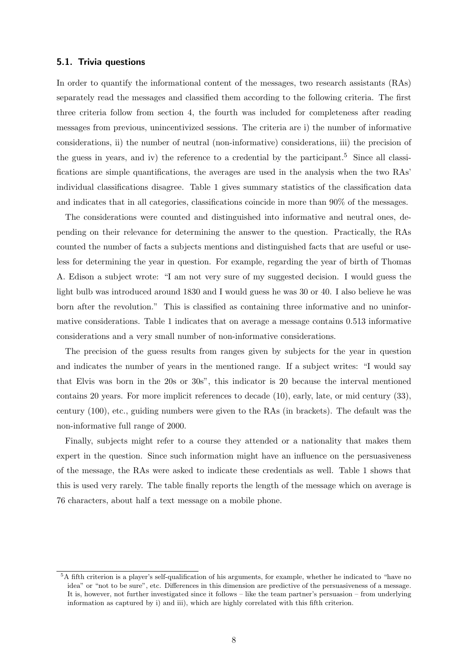## 5.1. Trivia questions

In order to quantify the informational content of the messages, two research assistants (RAs) separately read the messages and classified them according to the following criteria. The first three criteria follow from section 4, the fourth was included for completeness after reading messages from previous, unincentivized sessions. The criteria are i) the number of informative considerations, ii) the number of neutral (non-informative) considerations, iii) the precision of the guess in years, and iv) the reference to a credential by the participant.<sup>5</sup> Since all classifications are simple quantifications, the averages are used in the analysis when the two RAs' individual classifications disagree. Table 1 gives summary statistics of the classification data and indicates that in all categories, classifications coincide in more than 90% of the messages.

The considerations were counted and distinguished into informative and neutral ones, depending on their relevance for determining the answer to the question. Practically, the RAs counted the number of facts a subjects mentions and distinguished facts that are useful or useless for determining the year in question. For example, regarding the year of birth of Thomas A. Edison a subject wrote: "I am not very sure of my suggested decision. I would guess the light bulb was introduced around 1830 and I would guess he was 30 or 40. I also believe he was born after the revolution." This is classified as containing three informative and no uninformative considerations. Table 1 indicates that on average a message contains 0.513 informative considerations and a very small number of non-informative considerations.

The precision of the guess results from ranges given by subjects for the year in question and indicates the number of years in the mentioned range. If a subject writes: "I would say that Elvis was born in the 20s or 30s", this indicator is 20 because the interval mentioned contains 20 years. For more implicit references to decade (10), early, late, or mid century (33), century (100), etc., guiding numbers were given to the RAs (in brackets). The default was the non-informative full range of 2000.

Finally, subjects might refer to a course they attended or a nationality that makes them expert in the question. Since such information might have an influence on the persuasiveness of the message, the RAs were asked to indicate these credentials as well. Table 1 shows that this is used very rarely. The table finally reports the length of the message which on average is 76 characters, about half a text message on a mobile phone.

<sup>5</sup>A fifth criterion is a player's self-qualification of his arguments, for example, whether he indicated to "have no idea" or "not to be sure", etc. Differences in this dimension are predictive of the persuasiveness of a message. It is, however, not further investigated since it follows – like the team partner's persuasion – from underlying information as captured by i) and iii), which are highly correlated with this fifth criterion.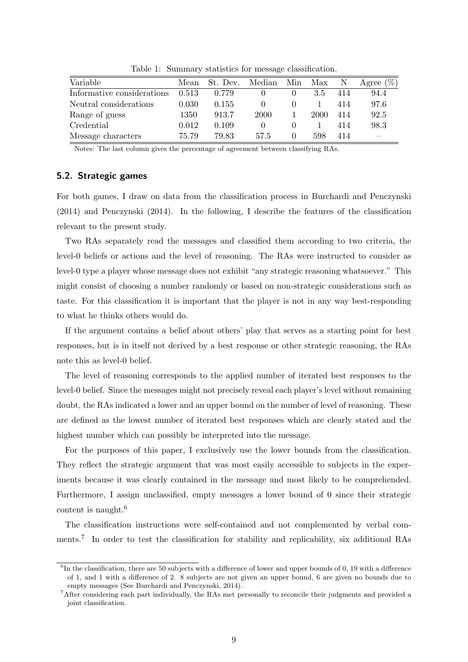| Variable                   | Mean  | St. Dev. | Median      | Min | Max  | N   | $\mathcal{C}(\mathcal{C})$<br>Agree |
|----------------------------|-------|----------|-------------|-----|------|-----|-------------------------------------|
| Informative considerations | 0.513 | 0.779    |             |     | 3.5  | 414 | 94.4                                |
| Neutral considerations     | 0.030 | 0.155    |             |     |      | 414 | 97.6                                |
| Range of guess             | 1350  | 913.7    | <b>2000</b> |     | 2000 | 414 | 92.5                                |
| Credential                 | 0.012 | 0.109    |             |     |      | 414 | 98.3                                |
| Message characters         | 75.79 | 79.83    | 57.5        |     | 598  | 414 |                                     |

Table 1: Summary statistics for message classification.

Notes: The last column gives the percentage of agreement between classifying RAs.

## 5.2. Strategic games

For both games, I draw on data from the classification process in Burchardi and Penczynski (2014) and Penczynski (2014). In the following, I describe the features of the classification relevant to the present study.

Two RAs separately read the messages and classified them according to two criteria, the level-0 beliefs or actions and the level of reasoning. The RAs were instructed to consider as level-0 type a player whose message does not exhibit "any strategic reasoning whatsoever." This might consist of choosing a number randomly or based on non-strategic considerations such as taste. For this classification it is important that the player is not in any way best-responding to what he thinks others would do.

If the argument contains a belief about others' play that serves as a starting point for best responses, but is in itself not derived by a best response or other strategic reasoning, the RAs note this as level-0 belief.

The level of reasoning corresponds to the applied number of iterated best responses to the level-0 belief. Since the messages might not precisely reveal each player's level without remaining doubt, the RAs indicated a lower and an upper bound on the number of level of reasoning. These are defined as the lowest number of iterated best responses which are clearly stated and the highest number which can possibly be interpreted into the message.

For the purposes of this paper, I exclusively use the lower bounds from the classification. They reflect the strategic argument that was most easily accessible to subjects in the experiments because it was clearly contained in the message and most likely to be comprehended. Furthermore, I assign unclassified, empty messages a lower bound of 0 since their strategic content is naught.<sup>6</sup>

The classification instructions were self-contained and not complemented by verbal comments.<sup>7</sup> In order to test the classification for stability and replicability, six additional RAs

<sup>&</sup>lt;sup>6</sup>In the classification, there are 50 subjects with a difference of lower and upper bounds of 0, 19 with a difference of 1, and 1 with a difference of 2. 8 subjects are not given an upper bound, 6 are given no bounds due to empty messages (See Burchardi and Penczynski, 2014).

<sup>7</sup>After considering each part individually, the RAs met personally to reconcile their judgments and provided a joint classification.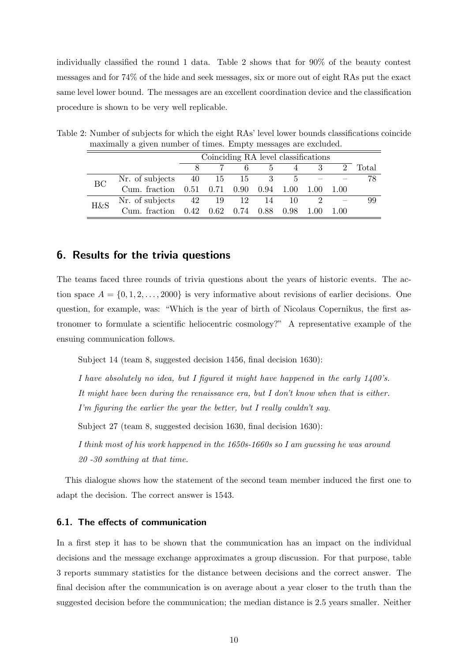individually classified the round 1 data. Table 2 shows that for 90% of the beauty contest messages and for 74% of the hide and seek messages, six or more out of eight RAs put the exact same level lower bound. The messages are an excellent coordination device and the classification procedure is shown to be very well replicable.

|     |                                                                                      | Coinciding RA level classifications |  |  |                             |  |  |         |
|-----|--------------------------------------------------------------------------------------|-------------------------------------|--|--|-----------------------------|--|--|---------|
|     |                                                                                      |                                     |  |  | $6 \quad 5 \quad 4 \quad 3$ |  |  | 2 Total |
| BC  |                                                                                      |                                     |  |  |                             |  |  |         |
|     | Nr. of subjects 40 15 15 3 5 - -<br>Cum. fraction 0.51 0.71 0.90 0.94 1.00 1.00 1.00 |                                     |  |  |                             |  |  |         |
| H&S | Nr. of subjects 42 19 12 14 10                                                       |                                     |  |  |                             |  |  | 99      |
|     | Cum. fraction $0.42$ $0.62$ $0.74$ $0.88$ $0.98$ $1.00$ $1.00$                       |                                     |  |  |                             |  |  |         |

Table 2: Number of subjects for which the eight RAs' level lower bounds classifications coincide maximally a given number of times. Empty messages are excluded.

# 6. Results for the trivia questions

The teams faced three rounds of trivia questions about the years of historic events. The action space  $A = \{0, 1, 2, \ldots, 2000\}$  is very informative about revisions of earlier decisions. One question, for example, was: "Which is the year of birth of Nicolaus Copernikus, the first astronomer to formulate a scientific heliocentric cosmology?" A representative example of the ensuing communication follows.

Subject 14 (team 8, suggested decision 1456, final decision 1630):

I have absolutely no idea, but I figured it might have happened in the early 1400's. It might have been during the renaissance era, but I don't know when that is either. I'm figuring the earlier the year the better, but I really couldn't say.

Subject 27 (team 8, suggested decision 1630, final decision 1630):

I think most of his work happened in the 1650s-1660s so I am guessing he was around 20 -30 somthing at that time.

This dialogue shows how the statement of the second team member induced the first one to adapt the decision. The correct answer is 1543.

## 6.1. The effects of communication

In a first step it has to be shown that the communication has an impact on the individual decisions and the message exchange approximates a group discussion. For that purpose, table 3 reports summary statistics for the distance between decisions and the correct answer. The final decision after the communication is on average about a year closer to the truth than the suggested decision before the communication; the median distance is 2.5 years smaller. Neither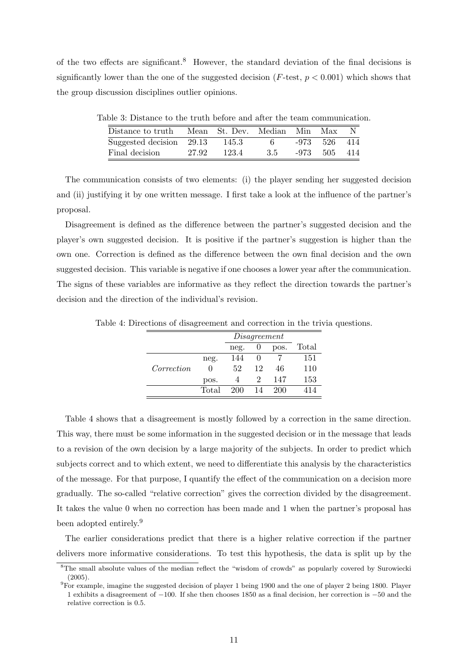of the two effects are significant.<sup>8</sup> However, the standard deviation of the final decisions is significantly lower than the one of the suggested decision ( $F$ -test,  $p < 0.001$ ) which shows that the group discussion disciplines outlier opinions.

| usic o, ishowirce to the truth before and arter the team communicatio |       |         |    |                |  |
|-----------------------------------------------------------------------|-------|---------|----|----------------|--|
| Distance to truth Mean St. Dev. Median Min Max N                      |       |         |    |                |  |
| Suggested decision 29.13                                              |       | - 145.3 | 6. | $-973$ 526 414 |  |
| Final decision                                                        | 27.92 | 1234    | 35 | $-973$ 505 414 |  |
|                                                                       |       |         |    |                |  |

Table 3: Distance to the truth before and after the team communication.

The communication consists of two elements: (i) the player sending her suggested decision and (ii) justifying it by one written message. I first take a look at the influence of the partner's proposal.

Disagreement is defined as the difference between the partner's suggested decision and the player's own suggested decision. It is positive if the partner's suggestion is higher than the own one. Correction is defined as the difference between the own final decision and the own suggested decision. This variable is negative if one chooses a lower year after the communication. The signs of these variables are informative as they reflect the direction towards the partner's decision and the direction of the individual's revision.

|            |       | Disagreement |    |      |       |
|------------|-------|--------------|----|------|-------|
|            |       | neg.         | 0  | pos. | Total |
|            | neg.  | 144          |    |      | 151   |
| Correction |       | 52           | 12 | 46   | 110   |
|            | pos.  |              | '2 | 147  | 153   |
|            | Total | 200          | 14 | 200  |       |

Table 4: Directions of disagreement and correction in the trivia questions.

Table 4 shows that a disagreement is mostly followed by a correction in the same direction. This way, there must be some information in the suggested decision or in the message that leads to a revision of the own decision by a large majority of the subjects. In order to predict which subjects correct and to which extent, we need to differentiate this analysis by the characteristics of the message. For that purpose, I quantify the effect of the communication on a decision more gradually. The so-called "relative correction" gives the correction divided by the disagreement. It takes the value 0 when no correction has been made and 1 when the partner's proposal has been adopted entirely.<sup>9</sup>

The earlier considerations predict that there is a higher relative correction if the partner delivers more informative considerations. To test this hypothesis, the data is split up by the

<sup>8</sup>The small absolute values of the median reflect the "wisdom of crowds" as popularly covered by Surowiecki (2005).

<sup>&</sup>lt;sup>9</sup>For example, imagine the suggested decision of player 1 being 1900 and the one of player 2 being 1800. Player 1 exhibits a disagreement of −100. If she then chooses 1850 as a final decision, her correction is −50 and the relative correction is 0.5.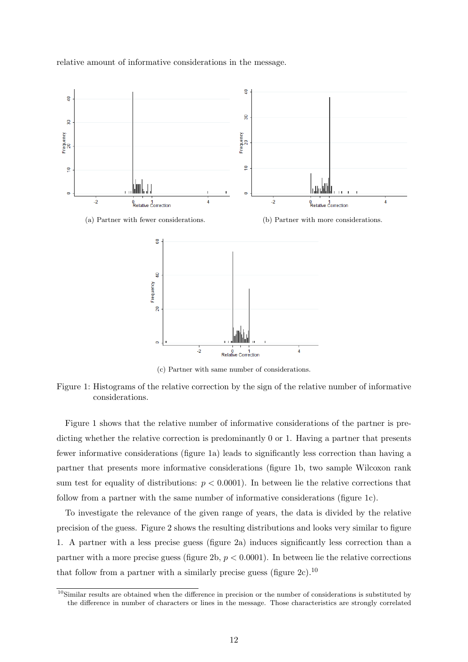relative amount of informative considerations in the message.



(c) Partner with same number of considerations.

Figure 1: Histograms of the relative correction by the sign of the relative number of informative considerations.

Figure 1 shows that the relative number of informative considerations of the partner is predicting whether the relative correction is predominantly 0 or 1. Having a partner that presents fewer informative considerations (figure 1a) leads to significantly less correction than having a partner that presents more informative considerations (figure 1b, two sample Wilcoxon rank sum test for equality of distributions:  $p < 0.0001$ ). In between lie the relative corrections that follow from a partner with the same number of informative considerations (figure 1c).

To investigate the relevance of the given range of years, the data is divided by the relative precision of the guess. Figure 2 shows the resulting distributions and looks very similar to figure 1. A partner with a less precise guess (figure 2a) induces significantly less correction than a partner with a more precise guess (figure 2b,  $p < 0.0001$ ). In between lie the relative corrections that follow from a partner with a similarly precise guess (figure  $2c$ ).<sup>10</sup>

 $10$ Similar results are obtained when the difference in precision or the number of considerations is substituted by the difference in number of characters or lines in the message. Those characteristics are strongly correlated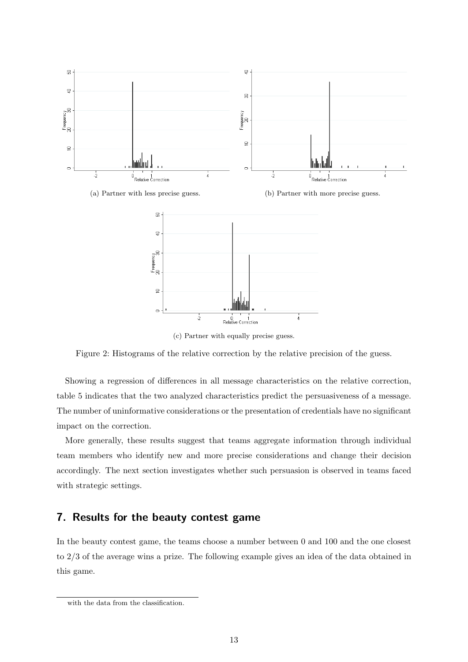

(c) Partner with equally precise guess.

Figure 2: Histograms of the relative correction by the relative precision of the guess.

Showing a regression of differences in all message characteristics on the relative correction, table 5 indicates that the two analyzed characteristics predict the persuasiveness of a message. The number of uninformative considerations or the presentation of credentials have no significant impact on the correction.

More generally, these results suggest that teams aggregate information through individual team members who identify new and more precise considerations and change their decision accordingly. The next section investigates whether such persuasion is observed in teams faced with strategic settings.

# 7. Results for the beauty contest game

In the beauty contest game, the teams choose a number between 0 and 100 and the one closest to 2/3 of the average wins a prize. The following example gives an idea of the data obtained in this game.

with the data from the classification.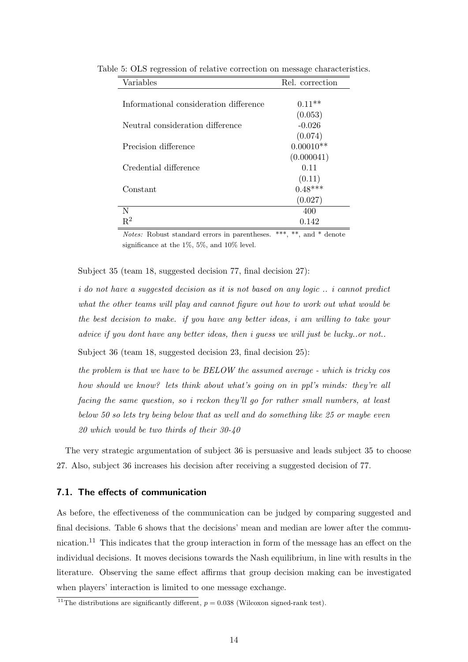| Rel. correction |
|-----------------|
|                 |
| $0.11**$        |
| (0.053)         |
| $-0.026$        |
| (0.074)         |
| $0.00010**$     |
| (0.000041)      |
| 0.11            |
| (0.11)          |
| $0.48***$       |
| (0.027)         |
| 400             |
| 0.142           |
|                 |

Table 5: OLS regression of relative correction on message characteristics.

Notes: Robust standard errors in parentheses. \*\*\*, \*\*, and \* denote significance at the 1%, 5%, and 10% level.

#### Subject 35 (team 18, suggested decision 77, final decision 27):

i do not have a suggested decision as it is not based on any logic  $\ldots$  i cannot predict what the other teams will play and cannot figure out how to work out what would be the best decision to make. if you have any better ideas, i am willing to take your advice if you dont have any better ideas, then i guess we will just be lucky..or not..

Subject 36 (team 18, suggested decision 23, final decision 25):

the problem is that we have to be BELOW the assumed average - which is tricky cos how should we know? lets think about what's going on in ppl's minds: they're all facing the same question, so i reckon they'll go for rather small numbers, at least below 50 so lets try being below that as well and do something like 25 or maybe even 20 which would be two thirds of their 30-40

The very strategic argumentation of subject 36 is persuasive and leads subject 35 to choose 27. Also, subject 36 increases his decision after receiving a suggested decision of 77.

#### 7.1. The effects of communication

As before, the effectiveness of the communication can be judged by comparing suggested and final decisions. Table 6 shows that the decisions' mean and median are lower after the communication.<sup>11</sup> This indicates that the group interaction in form of the message has an effect on the individual decisions. It moves decisions towards the Nash equilibrium, in line with results in the literature. Observing the same effect affirms that group decision making can be investigated when players' interaction is limited to one message exchange.

<sup>&</sup>lt;sup>11</sup>The distributions are significantly different,  $p = 0.038$  (Wilcoxon signed-rank test).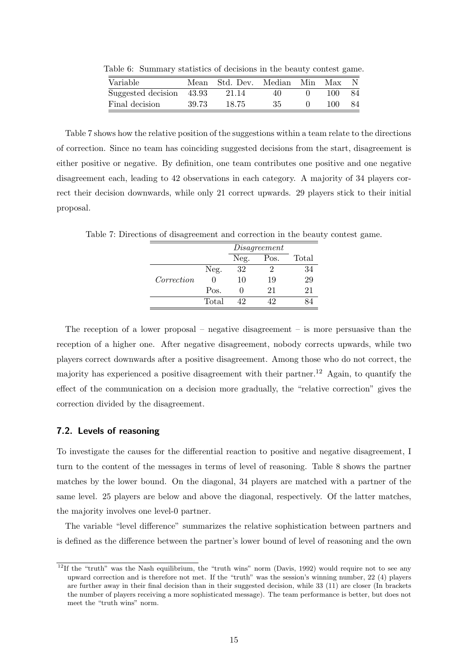| Lable 0. Duminary statistics of decisions in the beauty contest game. |                                 |    |        |  |
|-----------------------------------------------------------------------|---------------------------------|----|--------|--|
| Variable                                                              | Mean Std. Dev. Median Min Max N |    |        |  |
| Suggested decision $43.93$ $21.14$                                    |                                 | 40 | 100 84 |  |

Final decision 39.73 18.75 35 0 100 84

Table 6: Summary statistics of decisions in the beauty contest game.

Table 7 shows how the relative position of the suggestions within a team relate to the directions of correction. Since no team has coinciding suggested decisions from the start, disagreement is either positive or negative. By definition, one team contributes one positive and one negative disagreement each, leading to 42 observations in each category. A majority of 34 players correct their decision downwards, while only 21 correct upwards. 29 players stick to their initial proposal.

Table 7: Directions of disagreement and correction in the beauty contest game.

|            |       |      | Disagreement |       |
|------------|-------|------|--------------|-------|
|            |       | Neg. | Pos.         | Total |
|            | Neg.  | 32   |              | 34    |
| Correction |       | 10   | 19           | 29    |
|            | Pos.  |      | 21           | 21    |
|            | Total | 49   |              |       |

The reception of a lower proposal – negative disagreement – is more persuasive than the reception of a higher one. After negative disagreement, nobody corrects upwards, while two players correct downwards after a positive disagreement. Among those who do not correct, the majority has experienced a positive disagreement with their partner.<sup>12</sup> Again, to quantify the effect of the communication on a decision more gradually, the "relative correction" gives the correction divided by the disagreement.

## 7.2. Levels of reasoning

To investigate the causes for the differential reaction to positive and negative disagreement, I turn to the content of the messages in terms of level of reasoning. Table 8 shows the partner matches by the lower bound. On the diagonal, 34 players are matched with a partner of the same level. 25 players are below and above the diagonal, respectively. Of the latter matches, the majority involves one level-0 partner.

The variable "level difference" summarizes the relative sophistication between partners and is defined as the difference between the partner's lower bound of level of reasoning and the own

 $12$ If the "truth" was the Nash equilibrium, the "truth wins" norm (Davis, 1992) would require not to see any upward correction and is therefore not met. If the "truth" was the session's winning number, 22 (4) players are further away in their final decision than in their suggested decision, while 33 (11) are closer (In brackets the number of players receiving a more sophisticated message). The team performance is better, but does not meet the "truth wins" norm.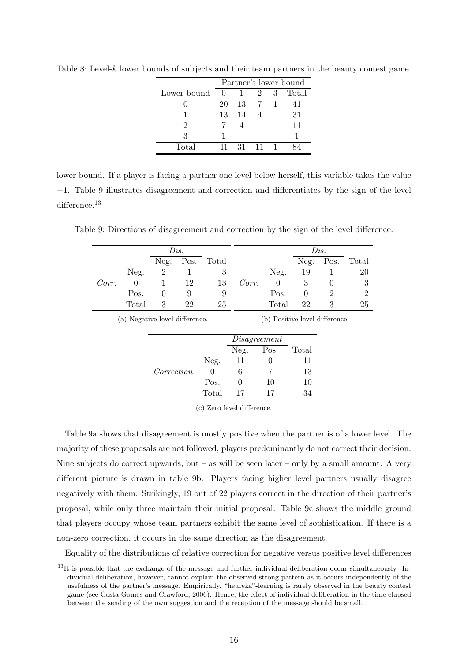|             | Partner's lower bound |      |    |   |       |  |
|-------------|-----------------------|------|----|---|-------|--|
| Lower bound | $\overline{0}$        | 1    | 2  | 3 | Total |  |
|             | 20                    | -13- |    |   | 41    |  |
|             | 13                    | 14   |    |   | 31    |  |
| 2           |                       |      |    |   | 11    |  |
| 3           |                       |      |    |   |       |  |
| Total       | 41                    | 31   | 11 |   |       |  |

Table 8: Level- $k$  lower bounds of subjects and their team partners in the beauty contest game.

lower bound. If a player is facing a partner one level below herself, this variable takes the value −1. Table 9 illustrates disagreement and correction and differentiates by the sign of the level difference.<sup>13</sup>

Table 9: Directions of disagreement and correction by the sign of the level difference.

|       |                                |                | Dis. |          |              |        |                                | Dis.     |                |
|-------|--------------------------------|----------------|------|----------|--------------|--------|--------------------------------|----------|----------------|
|       |                                | Neg.           | Pos. | Total    |              |        | Neg.                           | Pos.     | Total          |
|       | Neg.                           | $\overline{2}$ |      | 3        |              | Neg.   | 19                             | 1        | 20             |
| Corr. | $\cup$                         | 1              | 12   | 13       | Corr.        | $\cup$ | 3                              | $\theta$ | 3              |
|       | Pos.                           | $\theta$       | 9    | 9        |              | Pos.   | $\Omega$                       | 2        | $\overline{2}$ |
|       | Total                          | 3              | 22   | 25       |              | Total  | 22                             | 3        | 25             |
|       | (a) Negative level difference. |                |      |          | Disagreement |        | (b) Positive level difference. |          |                |
|       |                                |                |      |          | Neg.         | Pos.   | Total                          |          |                |
|       |                                |                |      | Neg.     | 11           | 0      | 11                             |          |                |
|       |                                | Correction     |      | $\theta$ | 6            |        | 13                             |          |                |
|       |                                |                |      | Pos.     | $\theta$     | 10     | 10                             |          |                |
|       |                                |                |      | Total    | 17           | 17     | 34                             |          |                |
|       |                                |                | . .  |          |              |        |                                |          |                |

(c) Zero level difference.

Table 9a shows that disagreement is mostly positive when the partner is of a lower level. The majority of these proposals are not followed, players predominantly do not correct their decision. Nine subjects do correct upwards, but – as will be seen later – only by a small amount. A very different picture is drawn in table 9b. Players facing higher level partners usually disagree negatively with them. Strikingly, 19 out of 22 players correct in the direction of their partner's proposal, while only three maintain their initial proposal. Table 9c shows the middle ground that players occupy whose team partners exhibit the same level of sophistication. If there is a non-zero correction, it occurs in the same direction as the disagreement.

Equality of the distributions of relative correction for negative versus positive level differences

<sup>&</sup>lt;sup>13</sup>It is possible that the exchange of the message and further individual deliberation occur simultaneously. Individual deliberation, however, cannot explain the observed strong pattern as it occurs independently of the usefulness of the partner's message. Empirically, "heureka"-learning is rarely observed in the beauty contest game (see Costa-Gomes and Crawford, 2006). Hence, the effect of individual deliberation in the time elapsed between the sending of the own suggestion and the reception of the message should be small.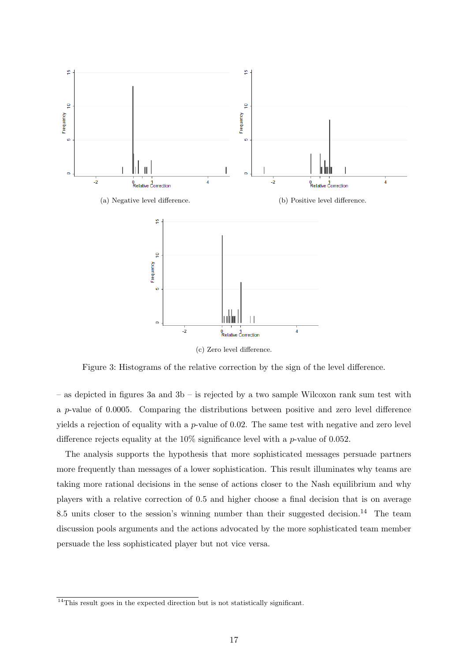

(c) Zero level difference.

Figure 3: Histograms of the relative correction by the sign of the level difference.

– as depicted in figures  $3a$  and  $3b$  – is rejected by a two sample Wilcoxon rank sum test with a p-value of 0.0005. Comparing the distributions between positive and zero level difference yields a rejection of equality with a p-value of 0.02. The same test with negative and zero level difference rejects equality at the  $10\%$  significance level with a *p*-value of 0.052.

The analysis supports the hypothesis that more sophisticated messages persuade partners more frequently than messages of a lower sophistication. This result illuminates why teams are taking more rational decisions in the sense of actions closer to the Nash equilibrium and why players with a relative correction of 0.5 and higher choose a final decision that is on average 8.5 units closer to the session's winning number than their suggested decision.<sup>14</sup> The team discussion pools arguments and the actions advocated by the more sophisticated team member persuade the less sophisticated player but not vice versa.

 $14$ This result goes in the expected direction but is not statistically significant.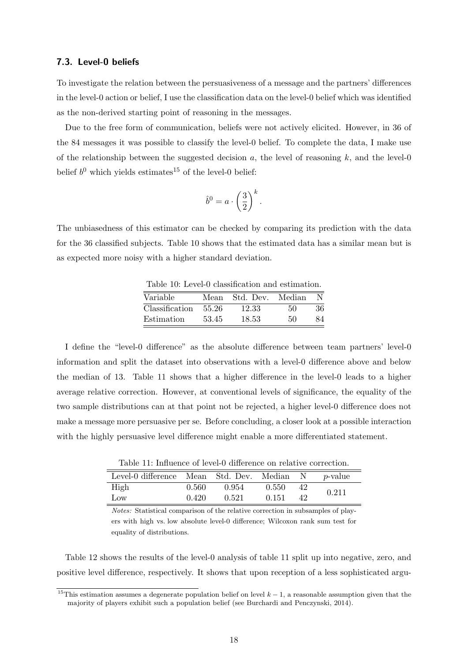## 7.3. Level-0 beliefs

To investigate the relation between the persuasiveness of a message and the partners' differences in the level-0 action or belief, I use the classification data on the level-0 belief which was identified as the non-derived starting point of reasoning in the messages.

Due to the free form of communication, beliefs were not actively elicited. However, in 36 of the 84 messages it was possible to classify the level-0 belief. To complete the data, I make use of the relationship between the suggested decision a, the level of reasoning  $k$ , and the level-0 belief  $b^0$  which yields estimates<sup>15</sup> of the level-0 belief:

$$
\hat{b}^0 = a \cdot \left(\frac{3}{2}\right)^k.
$$

The unbiasedness of this estimator can be checked by comparing its prediction with the data for the 36 classified subjects. Table 10 shows that the estimated data has a similar mean but is as expected more noisy with a higher standard deviation.

Table 10: Level-0 classification and estimation.

| Variable       | Mean  | Std. Dev. Median |     |    |
|----------------|-------|------------------|-----|----|
| Classification | 55.26 | 12.33            | 50. | 36 |
| Estimation     | 53.45 | 18.53            | 50  | 84 |

I define the "level-0 difference" as the absolute difference between team partners' level-0 information and split the dataset into observations with a level-0 difference above and below the median of 13. Table 11 shows that a higher difference in the level-0 leads to a higher average relative correction. However, at conventional levels of significance, the equality of the two sample distributions can at that point not be rejected, a higher level-0 difference does not make a message more persuasive per se. Before concluding, a closer look at a possible interaction with the highly persuasive level difference might enable a more differentiated statement.

Table 11: Influence of level-0 difference on relative correction.

| Level-0 difference Mean Std. Dev. Median $N$ <i>p</i> -value |       |       |       |     |       |
|--------------------------------------------------------------|-------|-------|-------|-----|-------|
| High                                                         | 0.560 | 0.954 | 0.550 | -42 | 0.211 |
| $_{\text{LOW}}$                                              | 0.420 | 0.521 | 0.151 | -42 |       |

Notes: Statistical comparison of the relative correction in subsamples of players with high vs. low absolute level-0 difference; Wilcoxon rank sum test for equality of distributions.

Table 12 shows the results of the level-0 analysis of table 11 split up into negative, zero, and positive level difference, respectively. It shows that upon reception of a less sophisticated argu-

<sup>&</sup>lt;sup>15</sup>This estimation assumes a degenerate population belief on level  $k - 1$ , a reasonable assumption given that the majority of players exhibit such a population belief (see Burchardi and Penczynski, 2014).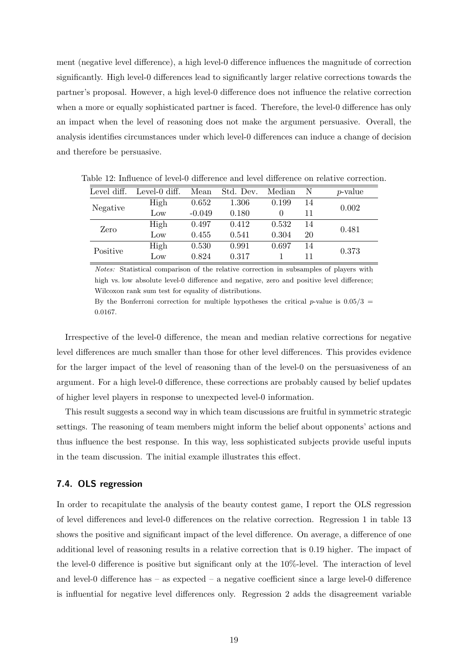ment (negative level difference), a high level-0 difference influences the magnitude of correction significantly. High level-0 differences lead to significantly larger relative corrections towards the partner's proposal. However, a high level-0 difference does not influence the relative correction when a more or equally sophisticated partner is faced. Therefore, the level-0 difference has only an impact when the level of reasoning does not make the argument persuasive. Overall, the analysis identifies circumstances under which level-0 differences can induce a change of decision and therefore be persuasive.

| Level diff. | Level-0 diff.   | Mean     | Std. Dev. | Median   | N  | $p$ -value |
|-------------|-----------------|----------|-----------|----------|----|------------|
| Negative    | High            | 0.652    | 1.306     | 0.199    | 14 | 0.002      |
|             | Low             | $-0.049$ | 0.180     | $\theta$ | 11 |            |
| Zero        | High            | 0.497    | 0.412     | 0.532    | 14 | 0.481      |
|             | $_{\text{Low}}$ | 0.455    | 0.541     | 0.304    | 20 |            |
| Positive    | High            | 0.530    | 0.991     | 0.697    | 14 |            |
|             | Low             | 0.824    | 0.317     |          |    | 0.373      |

Table 12: Influence of level-0 difference and level difference on relative correction.

Notes: Statistical comparison of the relative correction in subsamples of players with high vs. low absolute level-0 difference and negative, zero and positive level difference; Wilcoxon rank sum test for equality of distributions.

By the Bonferroni correction for multiple hypotheses the critical p-value is  $0.05/3$  = 0.0167.

Irrespective of the level-0 difference, the mean and median relative corrections for negative level differences are much smaller than those for other level differences. This provides evidence for the larger impact of the level of reasoning than of the level-0 on the persuasiveness of an argument. For a high level-0 difference, these corrections are probably caused by belief updates of higher level players in response to unexpected level-0 information.

This result suggests a second way in which team discussions are fruitful in symmetric strategic settings. The reasoning of team members might inform the belief about opponents' actions and thus influence the best response. In this way, less sophisticated subjects provide useful inputs in the team discussion. The initial example illustrates this effect.

## 7.4. OLS regression

In order to recapitulate the analysis of the beauty contest game, I report the OLS regression of level differences and level-0 differences on the relative correction. Regression 1 in table 13 shows the positive and significant impact of the level difference. On average, a difference of one additional level of reasoning results in a relative correction that is 0.19 higher. The impact of the level-0 difference is positive but significant only at the 10%-level. The interaction of level and level-0 difference has – as expected – a negative coefficient since a large level-0 difference is influential for negative level differences only. Regression 2 adds the disagreement variable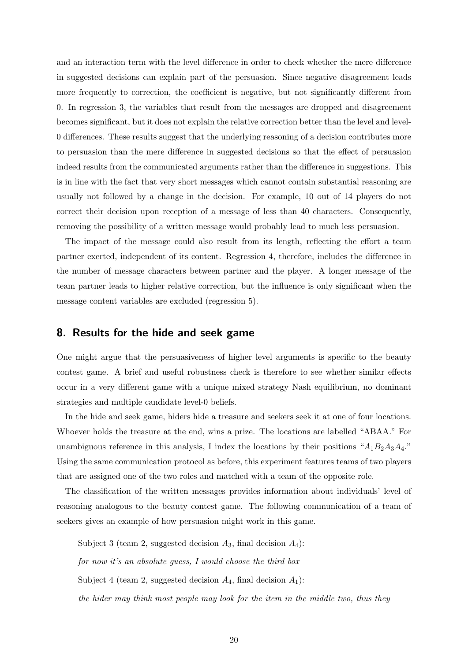and an interaction term with the level difference in order to check whether the mere difference in suggested decisions can explain part of the persuasion. Since negative disagreement leads more frequently to correction, the coefficient is negative, but not significantly different from 0. In regression 3, the variables that result from the messages are dropped and disagreement becomes significant, but it does not explain the relative correction better than the level and level-0 differences. These results suggest that the underlying reasoning of a decision contributes more to persuasion than the mere difference in suggested decisions so that the effect of persuasion indeed results from the communicated arguments rather than the difference in suggestions. This is in line with the fact that very short messages which cannot contain substantial reasoning are usually not followed by a change in the decision. For example, 10 out of 14 players do not correct their decision upon reception of a message of less than 40 characters. Consequently, removing the possibility of a written message would probably lead to much less persuasion.

The impact of the message could also result from its length, reflecting the effort a team partner exerted, independent of its content. Regression 4, therefore, includes the difference in the number of message characters between partner and the player. A longer message of the team partner leads to higher relative correction, but the influence is only significant when the message content variables are excluded (regression 5).

# 8. Results for the hide and seek game

One might argue that the persuasiveness of higher level arguments is specific to the beauty contest game. A brief and useful robustness check is therefore to see whether similar effects occur in a very different game with a unique mixed strategy Nash equilibrium, no dominant strategies and multiple candidate level-0 beliefs.

In the hide and seek game, hiders hide a treasure and seekers seek it at one of four locations. Whoever holds the treasure at the end, wins a prize. The locations are labelled "ABAA." For unambiguous reference in this analysis, I index the locations by their positions " $A_1B_2A_3A_4$ ." Using the same communication protocol as before, this experiment features teams of two players that are assigned one of the two roles and matched with a team of the opposite role.

The classification of the written messages provides information about individuals' level of reasoning analogous to the beauty contest game. The following communication of a team of seekers gives an example of how persuasion might work in this game.

Subject 3 (team 2, suggested decision  $A_3$ , final decision  $A_4$ ): for now it's an absolute guess, I would choose the third box Subject 4 (team 2, suggested decision  $A_4$ , final decision  $A_1$ ): the hider may think most people may look for the item in the middle two, thus they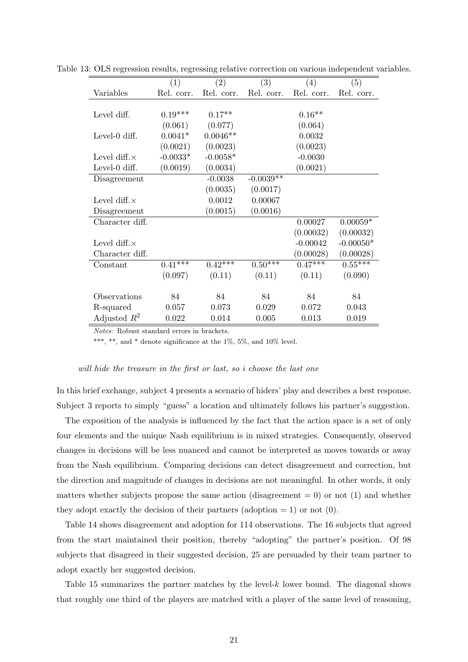|                      | (1)        | $\left( 2\right)$ | (3)           | (4)        | (5)         |
|----------------------|------------|-------------------|---------------|------------|-------------|
| Variables            | Rel. corr. | Rel. corr.        | Rel. corr.    | Rel. corr. | Rel. corr.  |
|                      |            |                   |               |            |             |
| Level diff.          | $0.19***$  | $0.17**$          |               | $0.16**$   |             |
|                      | (0.061)    | (0.077)           |               | (0.064)    |             |
| Level-0 diff.        | $0.0041*$  | $0.0046**$        |               | 0.0032     |             |
|                      | (0.0021)   | (0.0023)          |               | (0.0023)   |             |
| Level diff. $\times$ | $-0.0033*$ | $-0.0058*$        |               | $-0.0030$  |             |
| Level-0 diff.        | (0.0019)   | (0.0034)          |               | (0.0021)   |             |
| Disagreement         |            | $-0.0038$         | $-0.0039**$   |            |             |
|                      |            | (0.0035)          | (0.0017)      |            |             |
| Level diff. $\times$ |            | 0.0012            | 0.00067       |            |             |
| Disagreement         |            | (0.0015)          | (0.0016)      |            |             |
| Character diff.      |            |                   |               | 0.00027    | $0.00059*$  |
|                      |            |                   |               | (0.00032)  | (0.00032)   |
| Level diff. $\times$ |            |                   |               | $-0.00042$ | $-0.00050*$ |
| Character diff.      |            |                   |               | (0.00028)  | (0.00028)   |
| Constant             | $0.41***$  | $0.42***$         | $0.50^{****}$ | $0.47***$  | $0.55***$   |
|                      | (0.097)    | (0.11)            | (0.11)        | (0.11)     | (0.090)     |
|                      |            |                   |               |            |             |
| Observations         | 84         | 84                | 84            | 84         | 84          |
| R-squared            | 0.057      | 0.073             | 0.029         | 0.072      | 0.043       |
| Adjusted $R^2$       | 0.022      | 0.014             | 0.005         | 0.013      | 0.019       |

Table 13: OLS regression results, regressing relative correction on various independent variables.

Notes: Robust standard errors in brackets.

\*\*\*, \*\*, and \* denote significance at the  $1\%$ , 5%, and  $10\%$  level.

#### will hide the treasure in the first or last, so i choose the last one

In this brief exchange, subject 4 presents a scenario of hiders' play and describes a best response. Subject 3 reports to simply "guess" a location and ultimately follows his partner's suggestion.

The exposition of the analysis is influenced by the fact that the action space is a set of only four elements and the unique Nash equilibrium is in mixed strategies. Consequently, observed changes in decisions will be less nuanced and cannot be interpreted as moves towards or away from the Nash equilibrium. Comparing decisions can detect disagreement and correction, but the direction and magnitude of changes in decisions are not meaningful. In other words, it only matters whether subjects propose the same action (disagreement  $= 0$ ) or not (1) and whether they adopt exactly the decision of their partners (adoption  $= 1$ ) or not  $(0)$ .

Table 14 shows disagreement and adoption for 114 observations. The 16 subjects that agreed from the start maintained their position, thereby "adopting" the partner's position. Of 98 subjects that disagreed in their suggested decision, 25 are persuaded by their team partner to adopt exactly her suggested decision.

Table 15 summarizes the partner matches by the level- $k$  lower bound. The diagonal shows that roughly one third of the players are matched with a player of the same level of reasoning,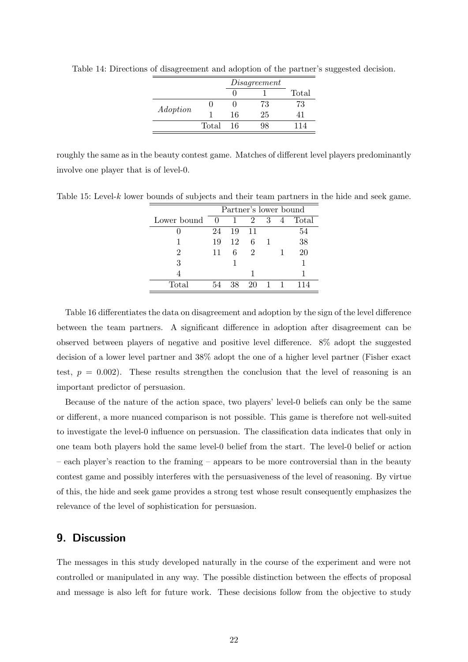|          |       |    | Disagreement |       |
|----------|-------|----|--------------|-------|
|          |       |    |              | Total |
| Adoption |       |    | 73           | 73    |
|          |       | 16 | 25           |       |
|          | Total | 16 | R            | 114   |

Table 14: Directions of disagreement and adoption of the partner's suggested decision.

roughly the same as in the beauty contest game. Matches of different level players predominantly involve one player that is of level-0.

Table 15: Level-k lower bounds of subjects and their team partners in the hide and seek game.

|             | Partner's lower bound |    |                |              |   |       |
|-------------|-----------------------|----|----------------|--------------|---|-------|
| Lower bound | $\tilde{0}$           | -1 | 2              | 3            | 4 | Total |
|             | 24                    | 19 | 11             |              |   | 54    |
|             | 19                    | 12 | 6              | 1            |   | 38    |
|             | 11                    | 6  | $\overline{2}$ |              |   | 20    |
| 3           |                       |    |                |              |   |       |
|             |                       |    |                |              |   |       |
| Total       |                       | 38 | 20             | $\mathbf{1}$ |   |       |

Table 16 differentiates the data on disagreement and adoption by the sign of the level difference between the team partners. A significant difference in adoption after disagreement can be observed between players of negative and positive level difference. 8% adopt the suggested decision of a lower level partner and 38% adopt the one of a higher level partner (Fisher exact test,  $p = 0.002$ . These results strengthen the conclusion that the level of reasoning is an important predictor of persuasion.

Because of the nature of the action space, two players' level-0 beliefs can only be the same or different, a more nuanced comparison is not possible. This game is therefore not well-suited to investigate the level-0 influence on persuasion. The classification data indicates that only in one team both players hold the same level-0 belief from the start. The level-0 belief or action – each player's reaction to the framing – appears to be more controversial than in the beauty contest game and possibly interferes with the persuasiveness of the level of reasoning. By virtue of this, the hide and seek game provides a strong test whose result consequently emphasizes the relevance of the level of sophistication for persuasion.

# 9. Discussion

The messages in this study developed naturally in the course of the experiment and were not controlled or manipulated in any way. The possible distinction between the effects of proposal and message is also left for future work. These decisions follow from the objective to study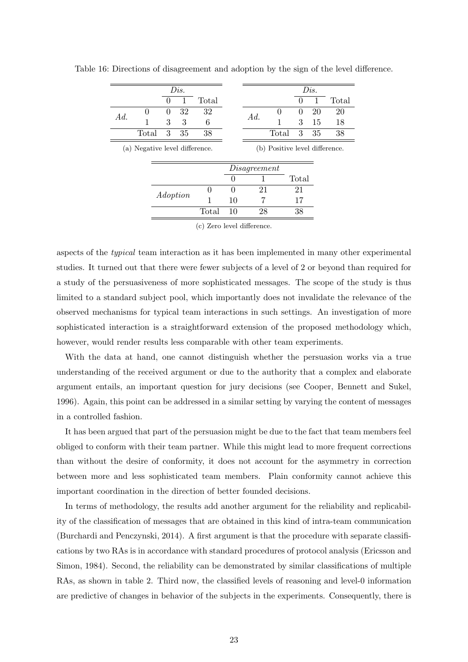|            |                                |          | Dis. |       |    |              |                                |              | Dis. |       |
|------------|--------------------------------|----------|------|-------|----|--------------|--------------------------------|--------------|------|-------|
|            |                                |          | 1    | Total |    |              |                                | $\mathbf{0}$ |      | Total |
| Ad.        | $\mathbf{0}$                   | $\theta$ | 32   | 32    |    | Ad.          | $\mathbf{0}$                   | 0            | 20   | 20    |
|            |                                | 3        | 3    | 6     |    |              | 1                              | 3            | 15   | 18    |
|            | Total                          | 3        | 35   | 38    |    |              | Total                          | 3            | 35   | 38    |
|            | (a) Negative level difference. |          |      |       |    |              | (b) Positive level difference. |              |      |       |
|            |                                |          |      |       |    | Disagreement |                                |              |      |       |
|            |                                |          |      |       |    |              |                                | Total        |      |       |
|            |                                | Adoption | O    |       | 21 |              | 21                             |              |      |       |
|            |                                |          |      | 1     | 10 | 7            |                                | 17           |      |       |
|            |                                |          |      | Total | 10 | 28           |                                | 38           |      |       |
| $\sqrt{2}$ |                                |          |      |       |    |              |                                |              |      |       |

Table 16: Directions of disagreement and adoption by the sign of the level difference.

(c) Zero level difference.

aspects of the typical team interaction as it has been implemented in many other experimental studies. It turned out that there were fewer subjects of a level of 2 or beyond than required for a study of the persuasiveness of more sophisticated messages. The scope of the study is thus limited to a standard subject pool, which importantly does not invalidate the relevance of the observed mechanisms for typical team interactions in such settings. An investigation of more sophisticated interaction is a straightforward extension of the proposed methodology which, however, would render results less comparable with other team experiments.

With the data at hand, one cannot distinguish whether the persuasion works via a true understanding of the received argument or due to the authority that a complex and elaborate argument entails, an important question for jury decisions (see Cooper, Bennett and Sukel, 1996). Again, this point can be addressed in a similar setting by varying the content of messages in a controlled fashion.

It has been argued that part of the persuasion might be due to the fact that team members feel obliged to conform with their team partner. While this might lead to more frequent corrections than without the desire of conformity, it does not account for the asymmetry in correction between more and less sophisticated team members. Plain conformity cannot achieve this important coordination in the direction of better founded decisions.

In terms of methodology, the results add another argument for the reliability and replicability of the classification of messages that are obtained in this kind of intra-team communication (Burchardi and Penczynski, 2014). A first argument is that the procedure with separate classifications by two RAs is in accordance with standard procedures of protocol analysis (Ericsson and Simon, 1984). Second, the reliability can be demonstrated by similar classifications of multiple RAs, as shown in table 2. Third now, the classified levels of reasoning and level-0 information are predictive of changes in behavior of the subjects in the experiments. Consequently, there is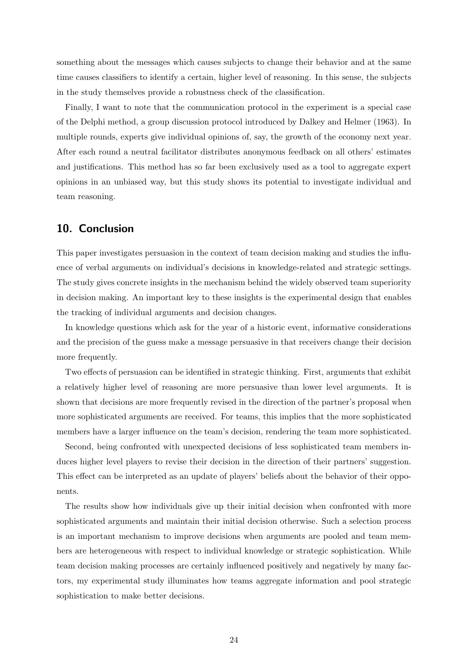something about the messages which causes subjects to change their behavior and at the same time causes classifiers to identify a certain, higher level of reasoning. In this sense, the subjects in the study themselves provide a robustness check of the classification.

Finally, I want to note that the communication protocol in the experiment is a special case of the Delphi method, a group discussion protocol introduced by Dalkey and Helmer (1963). In multiple rounds, experts give individual opinions of, say, the growth of the economy next year. After each round a neutral facilitator distributes anonymous feedback on all others' estimates and justifications. This method has so far been exclusively used as a tool to aggregate expert opinions in an unbiased way, but this study shows its potential to investigate individual and team reasoning.

# 10. Conclusion

This paper investigates persuasion in the context of team decision making and studies the influence of verbal arguments on individual's decisions in knowledge-related and strategic settings. The study gives concrete insights in the mechanism behind the widely observed team superiority in decision making. An important key to these insights is the experimental design that enables the tracking of individual arguments and decision changes.

In knowledge questions which ask for the year of a historic event, informative considerations and the precision of the guess make a message persuasive in that receivers change their decision more frequently.

Two effects of persuasion can be identified in strategic thinking. First, arguments that exhibit a relatively higher level of reasoning are more persuasive than lower level arguments. It is shown that decisions are more frequently revised in the direction of the partner's proposal when more sophisticated arguments are received. For teams, this implies that the more sophisticated members have a larger influence on the team's decision, rendering the team more sophisticated.

Second, being confronted with unexpected decisions of less sophisticated team members induces higher level players to revise their decision in the direction of their partners' suggestion. This effect can be interpreted as an update of players' beliefs about the behavior of their opponents.

The results show how individuals give up their initial decision when confronted with more sophisticated arguments and maintain their initial decision otherwise. Such a selection process is an important mechanism to improve decisions when arguments are pooled and team members are heterogeneous with respect to individual knowledge or strategic sophistication. While team decision making processes are certainly influenced positively and negatively by many factors, my experimental study illuminates how teams aggregate information and pool strategic sophistication to make better decisions.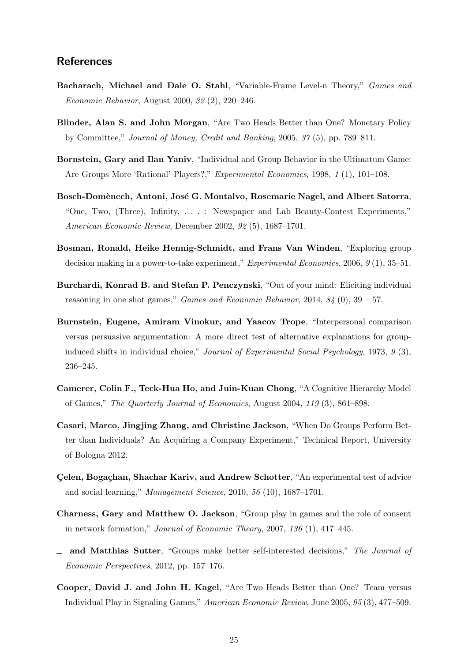# References

- Bacharach, Michael and Dale O. Stahl, "Variable-Frame Level-n Theory," Games and Economic Behavior, August 2000, 32 (2), 220–246.
- Blinder, Alan S. and John Morgan, "Are Two Heads Better than One? Monetary Policy by Committee," Journal of Money, Credit and Banking, 2005, 37 (5), pp. 789–811.
- Bornstein, Gary and Ilan Yaniv, "Individual and Group Behavior in the Ultimatum Game: Are Groups More 'Rational' Players?," Experimental Economics, 1998, 1 (1), 101–108.
- Bosch-Domènech, Antoni, José G. Montalvo, Rosemarie Nagel, and Albert Satorra, "One, Two, (Three), Infinity, . . . : Newspaper and Lab Beauty-Contest Experiments," American Economic Review, December 2002, 92 (5), 1687–1701.
- Bosman, Ronald, Heike Hennig-Schmidt, and Frans Van Winden, "Exploring group decision making in a power-to-take experiment," Experimental Economics, 2006, 9 (1), 35–51.
- Burchardi, Konrad B. and Stefan P. Penczynski, "Out of your mind: Eliciting individual reasoning in one shot games," *Games and Economic Behavior*, 2014,  $84$  (0),  $39 - 57$ .
- Burnstein, Eugene, Amiram Vinokur, and Yaacov Trope, "Interpersonal comparison versus persuasive argumentation: A more direct test of alternative explanations for groupinduced shifts in individual choice," Journal of Experimental Social Psychology, 1973, 9 (3), 236–245.
- Camerer, Colin F., Teck-Hua Ho, and Juin-Kuan Chong, "A Cognitive Hierarchy Model of Games," The Quarterly Journal of Economics, August 2004, 119 (3), 861–898.
- Casari, Marco, Jingjing Zhang, and Christine Jackson, "When Do Groups Perform Better than Individuals? An Acquiring a Company Experiment," Technical Report, University of Bologna 2012.
- Celen, Bogaçhan, Shachar Kariv, and Andrew Schotter, "An experimental test of advice and social learning," Management Science, 2010, 56 (10), 1687–1701.
- Charness, Gary and Matthew O. Jackson, "Group play in games and the role of consent in network formation," Journal of Economic Theory, 2007, 136 (1), 417–445.
- and Matthias Sutter, "Groups make better self-interested decisions," The Journal of Economic Perspectives, 2012, pp. 157–176.
- Cooper, David J. and John H. Kagel, "Are Two Heads Better than One? Team versus Individual Play in Signaling Games," American Economic Review, June 2005, 95 (3), 477–509.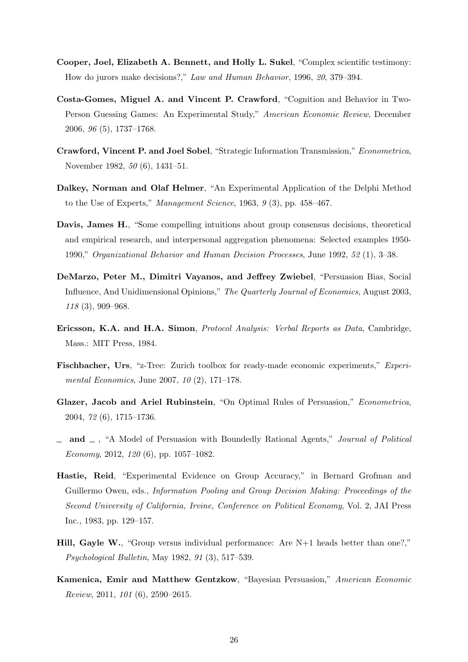- Cooper, Joel, Elizabeth A. Bennett, and Holly L. Sukel, "Complex scientific testimony: How do jurors make decisions?," Law and Human Behavior, 1996, 20, 379–394.
- Costa-Gomes, Miguel A. and Vincent P. Crawford, "Cognition and Behavior in Two-Person Guessing Games: An Experimental Study," American Economic Review, December 2006, 96 (5), 1737–1768.
- Crawford, Vincent P. and Joel Sobel, "Strategic Information Transmission," Econometrica, November 1982, 50 (6), 1431–51.
- Dalkey, Norman and Olaf Helmer, "An Experimental Application of the Delphi Method to the Use of Experts," Management Science, 1963, 9 (3), pp. 458–467.
- Davis, James H., "Some compelling intuitions about group consensus decisions, theoretical and empirical research, and interpersonal aggregation phenomena: Selected examples 1950- 1990," Organizational Behavior and Human Decision Processes, June 1992, 52 (1), 3–38.
- DeMarzo, Peter M., Dimitri Vayanos, and Jeffrey Zwiebel, "Persuasion Bias, Social Influence, And Unidimensional Opinions," The Quarterly Journal of Economics, August 2003, 118 (3), 909–968.
- Ericsson, K.A. and H.A. Simon, Protocol Analysis: Verbal Reports as Data, Cambridge, Mass.: MIT Press, 1984.
- Fischbacher, Urs, "z-Tree: Zurich toolbox for ready-made economic experiments," Experimental Economics, June 2007, 10 (2), 171–178.
- Glazer, Jacob and Ariel Rubinstein, "On Optimal Rules of Persuasion," Econometrica, 2004, 72 (6), 1715–1736.
- $\Box$  and  $\Box$ , "A Model of Persuasion with Boundedly Rational Agents," *Journal of Political* Economy, 2012,  $120(6)$ , pp. 1057–1082.
- Hastie, Reid, "Experimental Evidence on Group Accuracy," in Bernard Grofman and Guillermo Owen, eds., *Information Pooling and Group Decision Making: Proceedings of the* Second University of California, Irvine, Conference on Political Economy, Vol. 2, JAI Press Inc., 1983, pp. 129–157.
- Hill, Gayle W., "Group versus individual performance: Are N+1 heads better than one?," Psychological Bulletin, May 1982, 91 (3), 517–539.
- Kamenica, Emir and Matthew Gentzkow, "Bayesian Persuasion," American Economic Review, 2011, 101 (6), 2590–2615.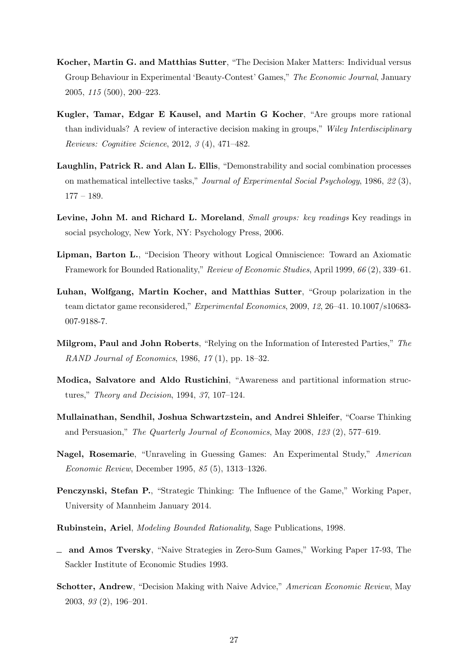- Kocher, Martin G. and Matthias Sutter, "The Decision Maker Matters: Individual versus Group Behaviour in Experimental 'Beauty-Contest' Games," The Economic Journal, January 2005, 115 (500), 200–223.
- Kugler, Tamar, Edgar E Kausel, and Martin G Kocher, "Are groups more rational than individuals? A review of interactive decision making in groups," Wiley Interdisciplinary Reviews: Cognitive Science, 2012, 3 (4), 471–482.
- Laughlin, Patrick R. and Alan L. Ellis, "Demonstrability and social combination processes on mathematical intellective tasks," Journal of Experimental Social Psychology, 1986, 22 (3),  $177 - 189.$
- Levine, John M. and Richard L. Moreland, Small groups: key readings Key readings in social psychology, New York, NY: Psychology Press, 2006.
- Lipman, Barton L., "Decision Theory without Logical Omniscience: Toward an Axiomatic Framework for Bounded Rationality," Review of Economic Studies, April 1999, 66 (2), 339–61.
- Luhan, Wolfgang, Martin Kocher, and Matthias Sutter, "Group polarization in the team dictator game reconsidered," Experimental Economics, 2009, 12, 26–41. 10.1007/s10683- 007-9188-7.
- Milgrom, Paul and John Roberts, "Relying on the Information of Interested Parties," The RAND Journal of Economics, 1986, 17 (1), pp. 18–32.
- Modica, Salvatore and Aldo Rustichini, "Awareness and partitional information structures," Theory and Decision, 1994, 37, 107–124.
- Mullainathan, Sendhil, Joshua Schwartzstein, and Andrei Shleifer, "Coarse Thinking and Persuasion," The Quarterly Journal of Economics, May 2008, 123 (2), 577–619.
- Nagel, Rosemarie, "Unraveling in Guessing Games: An Experimental Study," American Economic Review, December 1995, 85 (5), 1313–1326.
- Penczynski, Stefan P., "Strategic Thinking: The Influence of the Game," Working Paper, University of Mannheim January 2014.
- Rubinstein, Ariel, Modeling Bounded Rationality, Sage Publications, 1998.
- and Amos Tversky, "Naive Strategies in Zero-Sum Games," Working Paper 17-93, The Sackler Institute of Economic Studies 1993.
- Schotter, Andrew, "Decision Making with Naive Advice," American Economic Review, May 2003, 93 (2), 196–201.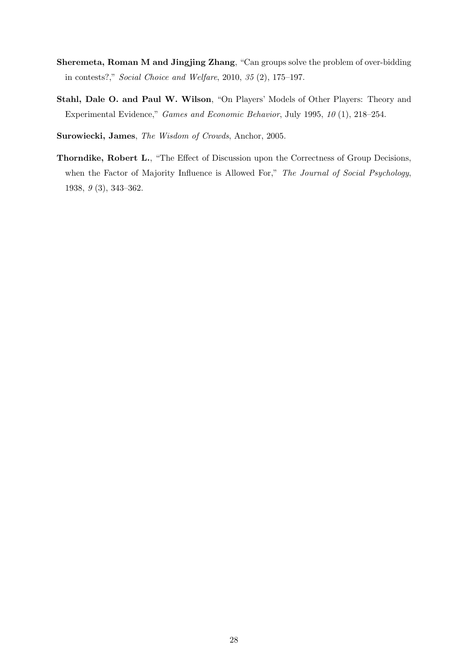- Sheremeta, Roman M and Jingjing Zhang, "Can groups solve the problem of over-bidding in contests?," Social Choice and Welfare, 2010, 35 (2), 175–197.
- Stahl, Dale O. and Paul W. Wilson, "On Players' Models of Other Players: Theory and Experimental Evidence," Games and Economic Behavior, July 1995, 10 (1), 218–254.

Surowiecki, James, The Wisdom of Crowds, Anchor, 2005.

Thorndike, Robert L., "The Effect of Discussion upon the Correctness of Group Decisions, when the Factor of Majority Influence is Allowed For," The Journal of Social Psychology, 1938, 9 (3), 343–362.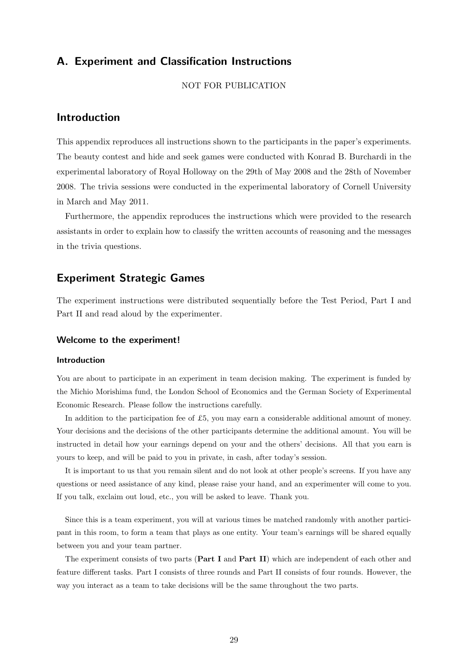# A. Experiment and Classification Instructions

## NOT FOR PUBLICATION

# Introduction

This appendix reproduces all instructions shown to the participants in the paper's experiments. The beauty contest and hide and seek games were conducted with Konrad B. Burchardi in the experimental laboratory of Royal Holloway on the 29th of May 2008 and the 28th of November 2008. The trivia sessions were conducted in the experimental laboratory of Cornell University in March and May 2011.

Furthermore, the appendix reproduces the instructions which were provided to the research assistants in order to explain how to classify the written accounts of reasoning and the messages in the trivia questions.

# Experiment Strategic Games

The experiment instructions were distributed sequentially before the Test Period, Part I and Part II and read aloud by the experimenter.

## Welcome to the experiment!

#### Introduction

You are about to participate in an experiment in team decision making. The experiment is funded by the Michio Morishima fund, the London School of Economics and the German Society of Experimental Economic Research. Please follow the instructions carefully.

In addition to the participation fee of £5, you may earn a considerable additional amount of money. Your decisions and the decisions of the other participants determine the additional amount. You will be instructed in detail how your earnings depend on your and the others' decisions. All that you earn is yours to keep, and will be paid to you in private, in cash, after today's session.

It is important to us that you remain silent and do not look at other people's screens. If you have any questions or need assistance of any kind, please raise your hand, and an experimenter will come to you. If you talk, exclaim out loud, etc., you will be asked to leave. Thank you.

Since this is a team experiment, you will at various times be matched randomly with another participant in this room, to form a team that plays as one entity. Your team's earnings will be shared equally between you and your team partner.

The experiment consists of two parts (Part I and Part II) which are independent of each other and feature different tasks. Part I consists of three rounds and Part II consists of four rounds. However, the way you interact as a team to take decisions will be the same throughout the two parts.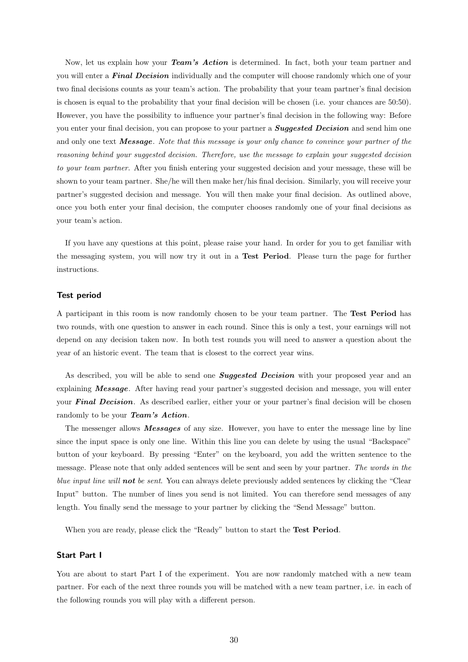Now, let us explain how your **Team's Action** is determined. In fact, both your team partner and you will enter a **Final Decision** individually and the computer will choose randomly which one of your two final decisions counts as your team's action. The probability that your team partner's final decision is chosen is equal to the probability that your final decision will be chosen (i.e. your chances are 50:50). However, you have the possibility to influence your partner's final decision in the following way: Before you enter your final decision, you can propose to your partner a **Suggested Decision** and send him one and only one text **Message**. Note that this message is your only chance to convince your partner of the reasoning behind your suggested decision. Therefore, use the message to explain your suggested decision to your team partner. After you finish entering your suggested decision and your message, these will be shown to your team partner. She/he will then make her/his final decision. Similarly, you will receive your partner's suggested decision and message. You will then make your final decision. As outlined above, once you both enter your final decision, the computer chooses randomly one of your final decisions as your team's action.

If you have any questions at this point, please raise your hand. In order for you to get familiar with the messaging system, you will now try it out in a Test Period. Please turn the page for further instructions.

#### Test period

A participant in this room is now randomly chosen to be your team partner. The Test Period has two rounds, with one question to answer in each round. Since this is only a test, your earnings will not depend on any decision taken now. In both test rounds you will need to answer a question about the year of an historic event. The team that is closest to the correct year wins.

As described, you will be able to send one **Suggested Decision** with your proposed year and an explaining *Message*. After having read your partner's suggested decision and message, you will enter your Final Decision. As described earlier, either your or your partner's final decision will be chosen randomly to be your **Team's Action**.

The messenger allows **Messages** of any size. However, you have to enter the message line by line since the input space is only one line. Within this line you can delete by using the usual "Backspace" button of your keyboard. By pressing "Enter" on the keyboard, you add the written sentence to the message. Please note that only added sentences will be sent and seen by your partner. The words in the blue input line will not be sent. You can always delete previously added sentences by clicking the "Clear" Input" button. The number of lines you send is not limited. You can therefore send messages of any length. You finally send the message to your partner by clicking the "Send Message" button.

When you are ready, please click the "Ready" button to start the Test Period.

## Start Part I

You are about to start Part I of the experiment. You are now randomly matched with a new team partner. For each of the next three rounds you will be matched with a new team partner, i.e. in each of the following rounds you will play with a different person.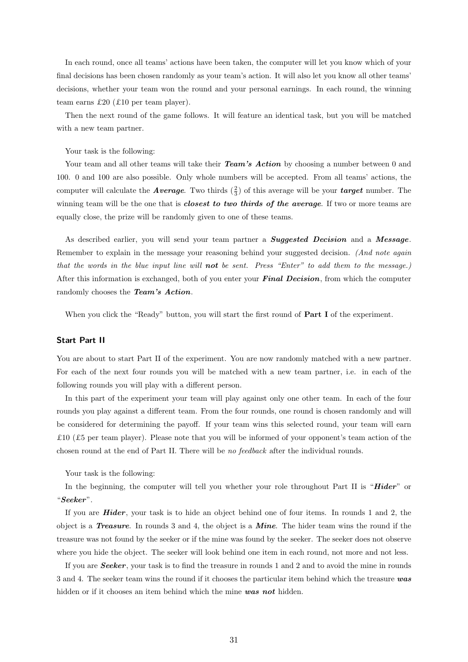In each round, once all teams' actions have been taken, the computer will let you know which of your final decisions has been chosen randomly as your team's action. It will also let you know all other teams' decisions, whether your team won the round and your personal earnings. In each round, the winning team earns £20 (£10 per team player).

Then the next round of the game follows. It will feature an identical task, but you will be matched with a new team partner.

Your task is the following:

Your team and all other teams will take their **Team's Action** by choosing a number between 0 and 100. 0 and 100 are also possible. Only whole numbers will be accepted. From all teams' actions, the computer will calculate the *Average*. Two thirds  $(\frac{2}{3})$  of this average will be your *target* number. The winning team will be the one that is *closest to two thirds of the average*. If two or more teams are equally close, the prize will be randomly given to one of these teams.

As described earlier, you will send your team partner a *Suggested Decision* and a *Message*. Remember to explain in the message your reasoning behind your suggested decision. (And note again that the words in the blue input line will **not** be sent. Press "Enter" to add them to the message.) After this information is exchanged, both of you enter your **Final Decision**, from which the computer randomly chooses the **Team's Action**.

When you click the "Ready" button, you will start the first round of **Part I** of the experiment.

## Start Part II

You are about to start Part II of the experiment. You are now randomly matched with a new partner. For each of the next four rounds you will be matched with a new team partner, i.e. in each of the following rounds you will play with a different person.

In this part of the experiment your team will play against only one other team. In each of the four rounds you play against a different team. From the four rounds, one round is chosen randomly and will be considered for determining the payoff. If your team wins this selected round, your team will earn £10 (£5 per team player). Please note that you will be informed of your opponent's team action of the chosen round at the end of Part II. There will be no feedback after the individual rounds.

Your task is the following:

In the beginning, the computer will tell you whether your role throughout Part II is "**Hider**" or "Seeker".

If you are Hider, your task is to hide an object behind one of four items. In rounds 1 and 2, the object is a **Treasure**. In rounds 3 and 4, the object is a **Mine**. The hider team wins the round if the treasure was not found by the seeker or if the mine was found by the seeker. The seeker does not observe where you hide the object. The seeker will look behind one item in each round, not more and not less.

If you are Seeker, your task is to find the treasure in rounds 1 and 2 and to avoid the mine in rounds 3 and 4. The seeker team wins the round if it chooses the particular item behind which the treasure was hidden or if it chooses an item behind which the mine was not hidden.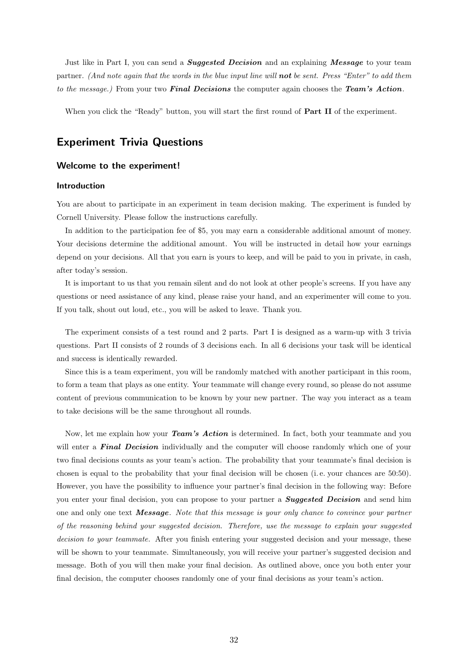Just like in Part I, you can send a **Suggested Decision** and an explaining **Message** to your team partner. (And note again that the words in the blue input line will **not** be sent. Press "Enter" to add them to the message.) From your two **Final Decisions** the computer again chooses the **Team's Action**.

When you click the "Ready" button, you will start the first round of Part II of the experiment.

# Experiment Trivia Questions

#### Welcome to the experiment!

## Introduction

You are about to participate in an experiment in team decision making. The experiment is funded by Cornell University. Please follow the instructions carefully.

In addition to the participation fee of \$5, you may earn a considerable additional amount of money. Your decisions determine the additional amount. You will be instructed in detail how your earnings depend on your decisions. All that you earn is yours to keep, and will be paid to you in private, in cash, after today's session.

It is important to us that you remain silent and do not look at other people's screens. If you have any questions or need assistance of any kind, please raise your hand, and an experimenter will come to you. If you talk, shout out loud, etc., you will be asked to leave. Thank you.

The experiment consists of a test round and 2 parts. Part I is designed as a warm-up with 3 trivia questions. Part II consists of 2 rounds of 3 decisions each. In all 6 decisions your task will be identical and success is identically rewarded.

Since this is a team experiment, you will be randomly matched with another participant in this room, to form a team that plays as one entity. Your teammate will change every round, so please do not assume content of previous communication to be known by your new partner. The way you interact as a team to take decisions will be the same throughout all rounds.

Now, let me explain how your **Team's Action** is determined. In fact, both your teammate and you will enter a **Final Decision** individually and the computer will choose randomly which one of your two final decisions counts as your team's action. The probability that your teammate's final decision is chosen is equal to the probability that your final decision will be chosen (i. e. your chances are 50:50). However, you have the possibility to influence your partner's final decision in the following way: Before you enter your final decision, you can propose to your partner a **Suggested Decision** and send him one and only one text **Message**. Note that this message is your only chance to convince your partner of the reasoning behind your suggested decision. Therefore, use the message to explain your suggested decision to your teammate. After you finish entering your suggested decision and your message, these will be shown to your teammate. Simultaneously, you will receive your partner's suggested decision and message. Both of you will then make your final decision. As outlined above, once you both enter your final decision, the computer chooses randomly one of your final decisions as your team's action.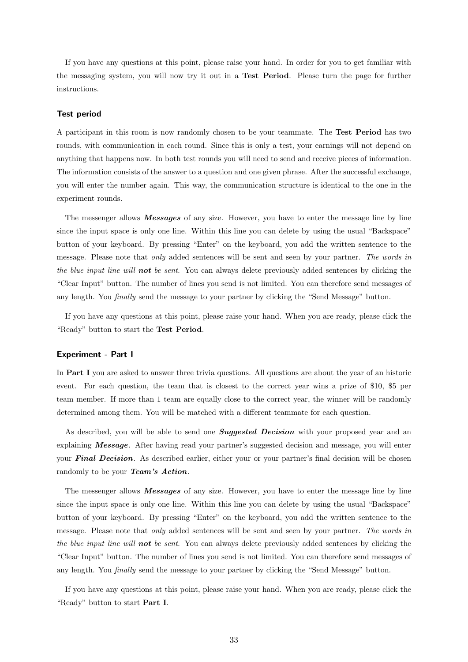If you have any questions at this point, please raise your hand. In order for you to get familiar with the messaging system, you will now try it out in a Test Period. Please turn the page for further instructions.

#### Test period

A participant in this room is now randomly chosen to be your teammate. The Test Period has two rounds, with communication in each round. Since this is only a test, your earnings will not depend on anything that happens now. In both test rounds you will need to send and receive pieces of information. The information consists of the answer to a question and one given phrase. After the successful exchange, you will enter the number again. This way, the communication structure is identical to the one in the experiment rounds.

The messenger allows **Messages** of any size. However, you have to enter the message line by line since the input space is only one line. Within this line you can delete by using the usual "Backspace" button of your keyboard. By pressing "Enter" on the keyboard, you add the written sentence to the message. Please note that only added sentences will be sent and seen by your partner. The words in the blue input line will not be sent. You can always delete previously added sentences by clicking the "Clear Input" button. The number of lines you send is not limited. You can therefore send messages of any length. You finally send the message to your partner by clicking the "Send Message" button.

If you have any questions at this point, please raise your hand. When you are ready, please click the "Ready" button to start the Test Period.

#### Experiment - Part I

In Part I you are asked to answer three trivia questions. All questions are about the year of an historic event. For each question, the team that is closest to the correct year wins a prize of \$10, \$5 per team member. If more than 1 team are equally close to the correct year, the winner will be randomly determined among them. You will be matched with a different teammate for each question.

As described, you will be able to send one **Suggested Decision** with your proposed year and an explaining *Message*. After having read your partner's suggested decision and message, you will enter your Final Decision. As described earlier, either your or your partner's final decision will be chosen randomly to be your Team's Action.

The messenger allows **Messages** of any size. However, you have to enter the message line by line since the input space is only one line. Within this line you can delete by using the usual "Backspace" button of your keyboard. By pressing "Enter" on the keyboard, you add the written sentence to the message. Please note that only added sentences will be sent and seen by your partner. The words in the blue input line will **not** be sent. You can always delete previously added sentences by clicking the "Clear Input" button. The number of lines you send is not limited. You can therefore send messages of any length. You finally send the message to your partner by clicking the "Send Message" button.

If you have any questions at this point, please raise your hand. When you are ready, please click the "Ready" button to start Part I.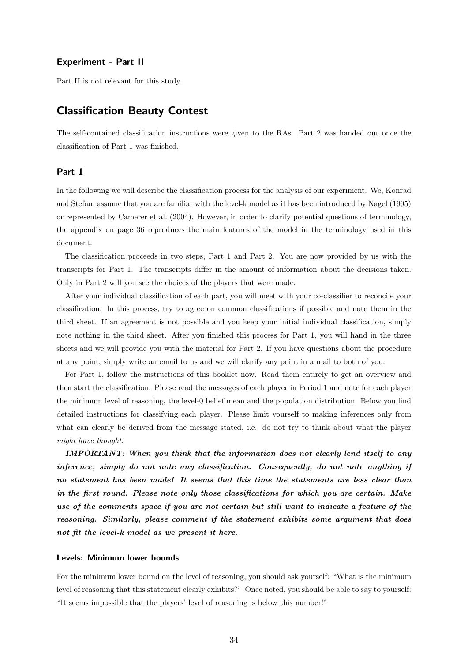## Experiment - Part II

Part II is not relevant for this study.

# Classification Beauty Contest

The self-contained classification instructions were given to the RAs. Part 2 was handed out once the classification of Part 1 was finished.

## Part 1

In the following we will describe the classification process for the analysis of our experiment. We, Konrad and Stefan, assume that you are familiar with the level-k model as it has been introduced by Nagel (1995) or represented by Camerer et al. (2004). However, in order to clarify potential questions of terminology, the appendix on page 36 reproduces the main features of the model in the terminology used in this document.

The classification proceeds in two steps, Part 1 and Part 2. You are now provided by us with the transcripts for Part 1. The transcripts differ in the amount of information about the decisions taken. Only in Part 2 will you see the choices of the players that were made.

After your individual classification of each part, you will meet with your co-classifier to reconcile your classification. In this process, try to agree on common classifications if possible and note them in the third sheet. If an agreement is not possible and you keep your initial individual classification, simply note nothing in the third sheet. After you finished this process for Part 1, you will hand in the three sheets and we will provide you with the material for Part 2. If you have questions about the procedure at any point, simply write an email to us and we will clarify any point in a mail to both of you.

For Part 1, follow the instructions of this booklet now. Read them entirely to get an overview and then start the classification. Please read the messages of each player in Period 1 and note for each player the minimum level of reasoning, the level-0 belief mean and the population distribution. Below you find detailed instructions for classifying each player. Please limit yourself to making inferences only from what can clearly be derived from the message stated, i.e. do not try to think about what the player might have thought.

IMPORTANT: When you think that the information does not clearly lend itself to any inference, simply do not note any classification. Consequently, do not note anything if no statement has been made! It seems that this time the statements are less clear than in the first round. Please note only those classifications for which you are certain. Make use of the comments space if you are not certain but still want to indicate a feature of the reasoning. Similarly, please comment if the statement exhibits some argument that does not fit the level-k model as we present it here.

#### Levels: Minimum lower bounds

For the minimum lower bound on the level of reasoning, you should ask yourself: "What is the minimum level of reasoning that this statement clearly exhibits?" Once noted, you should be able to say to yourself: "It seems impossible that the players' level of reasoning is below this number!"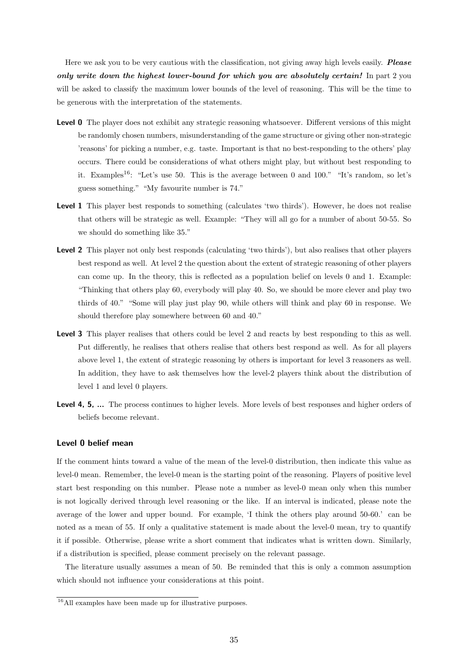Here we ask you to be very cautious with the classification, not giving away high levels easily. **Please** only write down the highest lower-bound for which you are absolutely certain! In part 2 you will be asked to classify the maximum lower bounds of the level of reasoning. This will be the time to be generous with the interpretation of the statements.

- Level 0 The player does not exhibit any strategic reasoning whatsoever. Different versions of this might be randomly chosen numbers, misunderstanding of the game structure or giving other non-strategic 'reasons' for picking a number, e.g. taste. Important is that no best-responding to the others' play occurs. There could be considerations of what others might play, but without best responding to it. Examples<sup>16</sup>: "Let's use 50. This is the average between 0 and 100." "It's random, so let's guess something." "My favourite number is 74."
- Level 1 This player best responds to something (calculates 'two thirds'). However, he does not realise that others will be strategic as well. Example: "They will all go for a number of about 50-55. So we should do something like 35."
- Level 2 This player not only best responds (calculating 'two thirds'), but also realises that other players best respond as well. At level 2 the question about the extent of strategic reasoning of other players can come up. In the theory, this is reflected as a population belief on levels 0 and 1. Example: "Thinking that others play 60, everybody will play 40. So, we should be more clever and play two thirds of 40." "Some will play just play 90, while others will think and play 60 in response. We should therefore play somewhere between 60 and 40."
- Level 3 This player realises that others could be level 2 and reacts by best responding to this as well. Put differently, he realises that others realise that others best respond as well. As for all players above level 1, the extent of strategic reasoning by others is important for level 3 reasoners as well. In addition, they have to ask themselves how the level-2 players think about the distribution of level 1 and level 0 players.
- Level 4, 5, ... The process continues to higher levels. More levels of best responses and higher orders of beliefs become relevant.

#### Level 0 belief mean

If the comment hints toward a value of the mean of the level-0 distribution, then indicate this value as level-0 mean. Remember, the level-0 mean is the starting point of the reasoning. Players of positive level start best responding on this number. Please note a number as level-0 mean only when this number is not logically derived through level reasoning or the like. If an interval is indicated, please note the average of the lower and upper bound. For example, 'I think the others play around 50-60.' can be noted as a mean of 55. If only a qualitative statement is made about the level-0 mean, try to quantify it if possible. Otherwise, please write a short comment that indicates what is written down. Similarly, if a distribution is specified, please comment precisely on the relevant passage.

The literature usually assumes a mean of 50. Be reminded that this is only a common assumption which should not influence your considerations at this point.

<sup>&</sup>lt;sup>16</sup>All examples have been made up for illustrative purposes.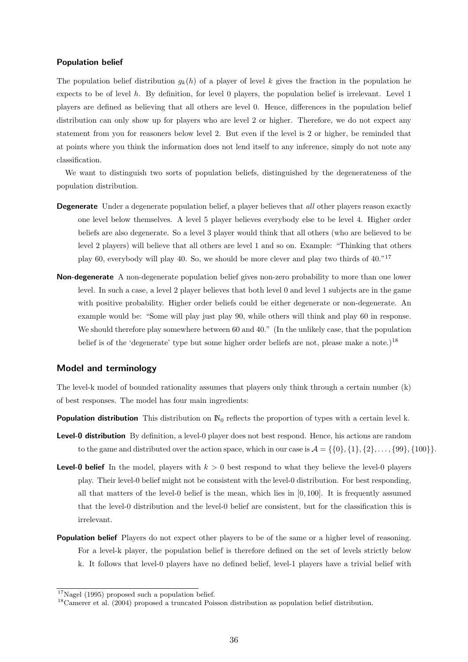#### Population belief

The population belief distribution  $g_k(h)$  of a player of level k gives the fraction in the population he expects to be of level h. By definition, for level 0 players, the population belief is irrelevant. Level 1 players are defined as believing that all others are level 0. Hence, differences in the population belief distribution can only show up for players who are level 2 or higher. Therefore, we do not expect any statement from you for reasoners below level 2. But even if the level is 2 or higher, be reminded that at points where you think the information does not lend itself to any inference, simply do not note any classification.

We want to distinguish two sorts of population beliefs, distinguished by the degenerateness of the population distribution.

- **Degenerate** Under a degenerate population belief, a player believes that all other players reason exactly one level below themselves. A level 5 player believes everybody else to be level 4. Higher order beliefs are also degenerate. So a level 3 player would think that all others (who are believed to be level 2 players) will believe that all others are level 1 and so on. Example: "Thinking that others play 60, everybody will play 40. So, we should be more clever and play two thirds of 40."<sup>17</sup>
- Non-degenerate A non-degenerate population belief gives non-zero probability to more than one lower level. In such a case, a level 2 player believes that both level 0 and level 1 subjects are in the game with positive probability. Higher order beliefs could be either degenerate or non-degenerate. An example would be: "Some will play just play 90, while others will think and play 60 in response. We should therefore play somewhere between 60 and 40." (In the unlikely case, that the population belief is of the 'degenerate' type but some higher order beliefs are not, please make a note.)<sup>18</sup>

#### Model and terminology

The level-k model of bounded rationality assumes that players only think through a certain number (k) of best responses. The model has four main ingredients:

**Population distribution** This distribution on  $\mathbb{N}_0$  reflects the proportion of types with a certain level k.

- Level-0 distribution By definition, a level-0 player does not best respond. Hence, his actions are random to the game and distributed over the action space, which in our case is  $\mathcal{A} = \{\{0\}, \{1\}, \{2\}, \ldots, \{99\}, \{100\}\}\.$
- **Level-0 belief** In the model, players with  $k > 0$  best respond to what they believe the level-0 players play. Their level-0 belief might not be consistent with the level-0 distribution. For best responding, all that matters of the level-0 belief is the mean, which lies in [0, 100]. It is frequently assumed that the level-0 distribution and the level-0 belief are consistent, but for the classification this is irrelevant.
- Population belief Players do not expect other players to be of the same or a higher level of reasoning. For a level-k player, the population belief is therefore defined on the set of levels strictly below k. It follows that level-0 players have no defined belief, level-1 players have a trivial belief with

 $17$ Nagel (1995) proposed such a population belief.

<sup>&</sup>lt;sup>18</sup>Camerer et al. (2004) proposed a truncated Poisson distribution as population belief distribution.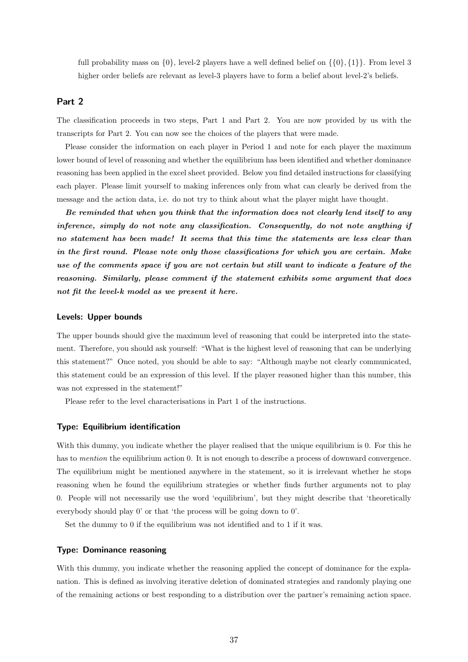full probability mass on  $\{0\}$ , level-2 players have a well defined belief on  $\{\{0\},\{1\}\}$ . From level 3 higher order beliefs are relevant as level-3 players have to form a belief about level-2's beliefs.

## Part 2

The classification proceeds in two steps, Part 1 and Part 2. You are now provided by us with the transcripts for Part 2. You can now see the choices of the players that were made.

Please consider the information on each player in Period 1 and note for each player the maximum lower bound of level of reasoning and whether the equilibrium has been identified and whether dominance reasoning has been applied in the excel sheet provided. Below you find detailed instructions for classifying each player. Please limit yourself to making inferences only from what can clearly be derived from the message and the action data, i.e. do not try to think about what the player might have thought.

Be reminded that when you think that the information does not clearly lend itself to any inference, simply do not note any classification. Consequently, do not note anything if no statement has been made! It seems that this time the statements are less clear than in the first round. Please note only those classifications for which you are certain. Make use of the comments space if you are not certain but still want to indicate a feature of the reasoning. Similarly, please comment if the statement exhibits some argument that does not fit the level-k model as we present it here.

#### Levels: Upper bounds

The upper bounds should give the maximum level of reasoning that could be interpreted into the statement. Therefore, you should ask yourself: "What is the highest level of reasoning that can be underlying this statement?" Once noted, you should be able to say: "Although maybe not clearly communicated, this statement could be an expression of this level. If the player reasoned higher than this number, this was not expressed in the statement!"

Please refer to the level characterisations in Part 1 of the instructions.

#### Type: Equilibrium identification

With this dummy, you indicate whether the player realised that the unique equilibrium is 0. For this he has to *mention* the equilibrium action 0. It is not enough to describe a process of downward convergence. The equilibrium might be mentioned anywhere in the statement, so it is irrelevant whether he stops reasoning when he found the equilibrium strategies or whether finds further arguments not to play 0. People will not necessarily use the word 'equilibrium', but they might describe that 'theoretically everybody should play 0' or that 'the process will be going down to 0'.

Set the dummy to 0 if the equilibrium was not identified and to 1 if it was.

#### Type: Dominance reasoning

With this dummy, you indicate whether the reasoning applied the concept of dominance for the explanation. This is defined as involving iterative deletion of dominated strategies and randomly playing one of the remaining actions or best responding to a distribution over the partner's remaining action space.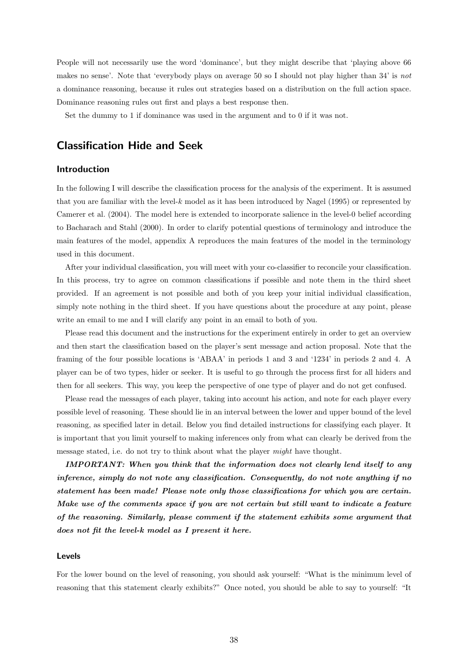People will not necessarily use the word 'dominance', but they might describe that 'playing above 66 makes no sense'. Note that 'everybody plays on average 50 so I should not play higher than 34' is not a dominance reasoning, because it rules out strategies based on a distribution on the full action space. Dominance reasoning rules out first and plays a best response then.

Set the dummy to 1 if dominance was used in the argument and to 0 if it was not.

# Classification Hide and Seek

## Introduction

In the following I will describe the classification process for the analysis of the experiment. It is assumed that you are familiar with the level- $k$  model as it has been introduced by Nagel (1995) or represented by Camerer et al. (2004). The model here is extended to incorporate salience in the level-0 belief according to Bacharach and Stahl (2000). In order to clarify potential questions of terminology and introduce the main features of the model, appendix A reproduces the main features of the model in the terminology used in this document.

After your individual classification, you will meet with your co-classifier to reconcile your classification. In this process, try to agree on common classifications if possible and note them in the third sheet provided. If an agreement is not possible and both of you keep your initial individual classification, simply note nothing in the third sheet. If you have questions about the procedure at any point, please write an email to me and I will clarify any point in an email to both of you.

Please read this document and the instructions for the experiment entirely in order to get an overview and then start the classification based on the player's sent message and action proposal. Note that the framing of the four possible locations is 'ABAA' in periods 1 and 3 and '1234' in periods 2 and 4. A player can be of two types, hider or seeker. It is useful to go through the process first for all hiders and then for all seekers. This way, you keep the perspective of one type of player and do not get confused.

Please read the messages of each player, taking into account his action, and note for each player every possible level of reasoning. These should lie in an interval between the lower and upper bound of the level reasoning, as specified later in detail. Below you find detailed instructions for classifying each player. It is important that you limit yourself to making inferences only from what can clearly be derived from the message stated, i.e. do not try to think about what the player might have thought.

IMPORTANT: When you think that the information does not clearly lend itself to any inference, simply do not note any classification. Consequently, do not note anything if no statement has been made! Please note only those classifications for which you are certain. Make use of the comments space if you are not certain but still want to indicate a feature of the reasoning. Similarly, please comment if the statement exhibits some argument that does not fit the level-k model as I present it here.

#### Levels

For the lower bound on the level of reasoning, you should ask yourself: "What is the minimum level of reasoning that this statement clearly exhibits?" Once noted, you should be able to say to yourself: "It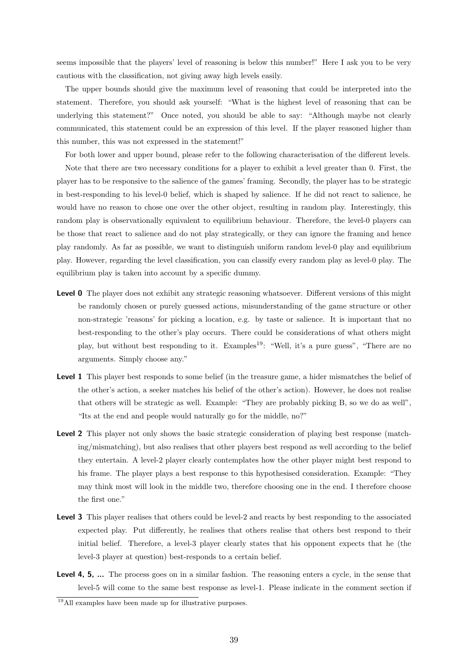seems impossible that the players' level of reasoning is below this number!" Here I ask you to be very cautious with the classification, not giving away high levels easily.

The upper bounds should give the maximum level of reasoning that could be interpreted into the statement. Therefore, you should ask yourself: "What is the highest level of reasoning that can be underlying this statement?" Once noted, you should be able to say: "Although maybe not clearly communicated, this statement could be an expression of this level. If the player reasoned higher than this number, this was not expressed in the statement!"

For both lower and upper bound, please refer to the following characterisation of the different levels.

Note that there are two necessary conditions for a player to exhibit a level greater than 0. First, the player has to be responsive to the salience of the games' framing. Secondly, the player has to be strategic in best-responding to his level-0 belief, which is shaped by salience. If he did not react to salience, he would have no reason to chose one over the other object, resulting in random play. Interestingly, this random play is observationally equivalent to equilibrium behaviour. Therefore, the level-0 players can be those that react to salience and do not play strategically, or they can ignore the framing and hence play randomly. As far as possible, we want to distinguish uniform random level-0 play and equilibrium play. However, regarding the level classification, you can classify every random play as level-0 play. The equilibrium play is taken into account by a specific dummy.

- Level 0 The player does not exhibit any strategic reasoning whatsoever. Different versions of this might be randomly chosen or purely guessed actions, misunderstanding of the game structure or other non-strategic 'reasons' for picking a location, e.g. by taste or salience. It is important that no best-responding to the other's play occurs. There could be considerations of what others might play, but without best responding to it. Examples<sup>19</sup>: "Well, it's a pure guess", "There are no arguments. Simply choose any."
- Level 1 This player best responds to some belief (in the treasure game, a hider mismatches the belief of the other's action, a seeker matches his belief of the other's action). However, he does not realise that others will be strategic as well. Example: "They are probably picking B, so we do as well", "Its at the end and people would naturally go for the middle, no?"
- Level 2 This player not only shows the basic strategic consideration of playing best response (matching/mismatching), but also realises that other players best respond as well according to the belief they entertain. A level-2 player clearly contemplates how the other player might best respond to his frame. The player plays a best response to this hypothesised consideration. Example: "They may think most will look in the middle two, therefore choosing one in the end. I therefore choose the first one."
- Level 3 This player realises that others could be level-2 and reacts by best responding to the associated expected play. Put differently, he realises that others realise that others best respond to their initial belief. Therefore, a level-3 player clearly states that his opponent expects that he (the level-3 player at question) best-responds to a certain belief.
- Level 4, 5, ... The process goes on in a similar fashion. The reasoning enters a cycle, in the sense that level-5 will come to the same best response as level-1. Please indicate in the comment section if

<sup>&</sup>lt;sup>19</sup>All examples have been made up for illustrative purposes.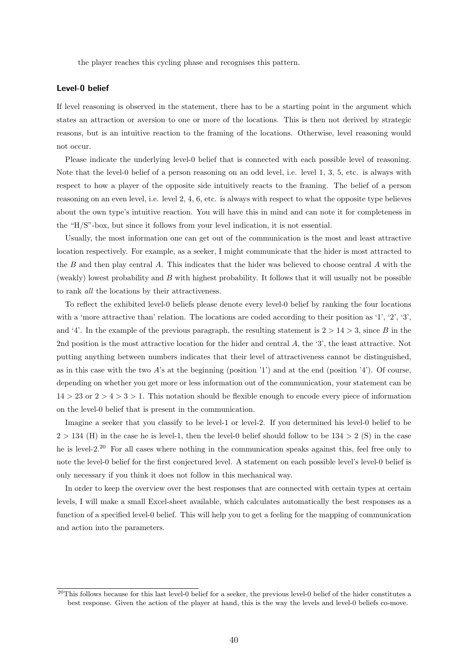the player reaches this cycling phase and recognises this pattern.

#### Level-0 belief

If level reasoning is observed in the statement, there has to be a starting point in the argument which states an attraction or aversion to one or more of the locations. This is then not derived by strategic reasons, but is an intuitive reaction to the framing of the locations. Otherwise, level reasoning would not occur.

Please indicate the underlying level-0 belief that is connected with each possible level of reasoning. Note that the level-0 belief of a person reasoning on an odd level, i.e. level 1, 3, 5, etc. is always with respect to how a player of the opposite side intuitively reacts to the framing. The belief of a person reasoning on an even level, i.e. level 2, 4, 6, etc. is always with respect to what the opposite type believes about the own type's intuitive reaction. You will have this in mind and can note it for completeness in the "H/S"-box, but since it follows from your level indication, it is not essential.

Usually, the most information one can get out of the communication is the most and least attractive location respectively. For example, as a seeker, I might communicate that the hider is most attracted to the B and then play central A. This indicates that the hider was believed to choose central A with the (weakly) lowest probability and B with highest probability. It follows that it will usually not be possible to rank all the locations by their attractiveness.

To reflect the exhibited level-0 beliefs please denote every level-0 belief by ranking the four locations with a 'more attractive than' relation. The locations are coded according to their position as '1', '2', '3', and '4'. In the example of the previous paragraph, the resulting statement is  $2 > 14 > 3$ , since B in the 2nd position is the most attractive location for the hider and central A, the '3', the least attractive. Not putting anything between numbers indicates that their level of attractiveness cannot be distinguished, as in this case with the two A's at the beginning (position '1') and at the end (position '4'). Of course, depending on whether you get more or less information out of the communication, your statement can be  $14 > 23$  or  $2 > 4 > 3 > 1$ . This notation should be flexible enough to encode every piece of information on the level-0 belief that is present in the communication.

Imagine a seeker that you classify to be level-1 or level-2. If you determined his level-0 belief to be  $2 > 134$  (H) in the case he is level-1, then the level-0 belief should follow to be  $134 > 2$  (S) in the case he is level-2<sup>20</sup> For all cases where nothing in the communication speaks against this, feel free only to note the level-0 belief for the first conjectured level. A statement on each possible level's level-0 belief is only necessary if you think it does not follow in this mechanical way.

In order to keep the overview over the best responses that are connected with certain types at certain levels, I will make a small Excel-sheet available, which calculates automatically the best responses as a function of a specified level-0 belief. This will help you to get a feeling for the mapping of communication and action into the parameters.

 $20$ This follows because for this last level-0 belief for a seeker, the previous level-0 belief of the hider constitutes a best response. Given the action of the player at hand, this is the way the levels and level-0 beliefs co-move.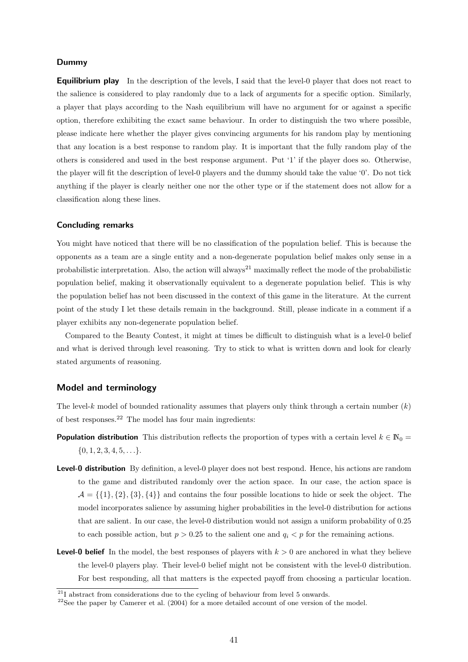#### Dummy

**Equilibrium play** In the description of the levels, I said that the level-0 player that does not react to the salience is considered to play randomly due to a lack of arguments for a specific option. Similarly, a player that plays according to the Nash equilibrium will have no argument for or against a specific option, therefore exhibiting the exact same behaviour. In order to distinguish the two where possible, please indicate here whether the player gives convincing arguments for his random play by mentioning that any location is a best response to random play. It is important that the fully random play of the others is considered and used in the best response argument. Put '1' if the player does so. Otherwise, the player will fit the description of level-0 players and the dummy should take the value '0'. Do not tick anything if the player is clearly neither one nor the other type or if the statement does not allow for a classification along these lines.

#### Concluding remarks

You might have noticed that there will be no classification of the population belief. This is because the opponents as a team are a single entity and a non-degenerate population belief makes only sense in a probabilistic interpretation. Also, the action will always<sup>21</sup> maximally reflect the mode of the probabilistic population belief, making it observationally equivalent to a degenerate population belief. This is why the population belief has not been discussed in the context of this game in the literature. At the current point of the study I let these details remain in the background. Still, please indicate in a comment if a player exhibits any non-degenerate population belief.

Compared to the Beauty Contest, it might at times be difficult to distinguish what is a level-0 belief and what is derived through level reasoning. Try to stick to what is written down and look for clearly stated arguments of reasoning.

#### Model and terminology

The level-k model of bounded rationality assumes that players only think through a certain number  $(k)$ of best responses.<sup>22</sup> The model has four main ingredients:

- **Population distribution** This distribution reflects the proportion of types with a certain level  $k \in \mathbb{N}_0$  =  $\{0, 1, 2, 3, 4, 5, \ldots\}.$
- Level-0 distribution By definition, a level-0 player does not best respond. Hence, his actions are random to the game and distributed randomly over the action space. In our case, the action space is  $\mathcal{A} = \{\{1\}, \{2\}, \{3\}, \{4\}\}\$ and contains the four possible locations to hide or seek the object. The model incorporates salience by assuming higher probabilities in the level-0 distribution for actions that are salient. In our case, the level-0 distribution would not assign a uniform probability of 0.25 to each possible action, but  $p > 0.25$  to the salient one and  $q_i < p$  for the remaining actions.
- **Level-0 belief** In the model, the best responses of players with  $k > 0$  are anchored in what they believe the level-0 players play. Their level-0 belief might not be consistent with the level-0 distribution. For best responding, all that matters is the expected payoff from choosing a particular location.

 $^{21}$ I abstract from considerations due to the cycling of behaviour from level 5 onwards.

 $22$ See the paper by Camerer et al. (2004) for a more detailed account of one version of the model.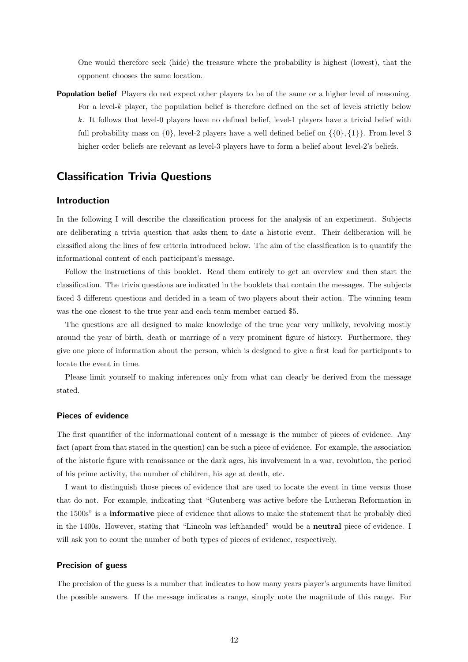One would therefore seek (hide) the treasure where the probability is highest (lowest), that the opponent chooses the same location.

**Population belief** Players do not expect other players to be of the same or a higher level of reasoning. For a level- $k$  player, the population belief is therefore defined on the set of levels strictly below k. It follows that level-0 players have no defined belief, level-1 players have a trivial belief with full probability mass on  $\{0\}$ , level-2 players have a well defined belief on  $\{\{0\},\{1\}\}\$ . From level 3 higher order beliefs are relevant as level-3 players have to form a belief about level-2's beliefs.

# Classification Trivia Questions

#### Introduction

In the following I will describe the classification process for the analysis of an experiment. Subjects are deliberating a trivia question that asks them to date a historic event. Their deliberation will be classified along the lines of few criteria introduced below. The aim of the classification is to quantify the informational content of each participant's message.

Follow the instructions of this booklet. Read them entirely to get an overview and then start the classification. The trivia questions are indicated in the booklets that contain the messages. The subjects faced 3 different questions and decided in a team of two players about their action. The winning team was the one closest to the true year and each team member earned \$5.

The questions are all designed to make knowledge of the true year very unlikely, revolving mostly around the year of birth, death or marriage of a very prominent figure of history. Furthermore, they give one piece of information about the person, which is designed to give a first lead for participants to locate the event in time.

Please limit yourself to making inferences only from what can clearly be derived from the message stated.

## Pieces of evidence

The first quantifier of the informational content of a message is the number of pieces of evidence. Any fact (apart from that stated in the question) can be such a piece of evidence. For example, the association of the historic figure with renaissance or the dark ages, his involvement in a war, revolution, the period of his prime activity, the number of children, his age at death, etc.

I want to distinguish those pieces of evidence that are used to locate the event in time versus those that do not. For example, indicating that "Gutenberg was active before the Lutheran Reformation in the 1500s" is a informative piece of evidence that allows to make the statement that he probably died in the 1400s. However, stating that "Lincoln was lefthanded" would be a neutral piece of evidence. I will ask you to count the number of both types of pieces of evidence, respectively.

#### Precision of guess

The precision of the guess is a number that indicates to how many years player's arguments have limited the possible answers. If the message indicates a range, simply note the magnitude of this range. For